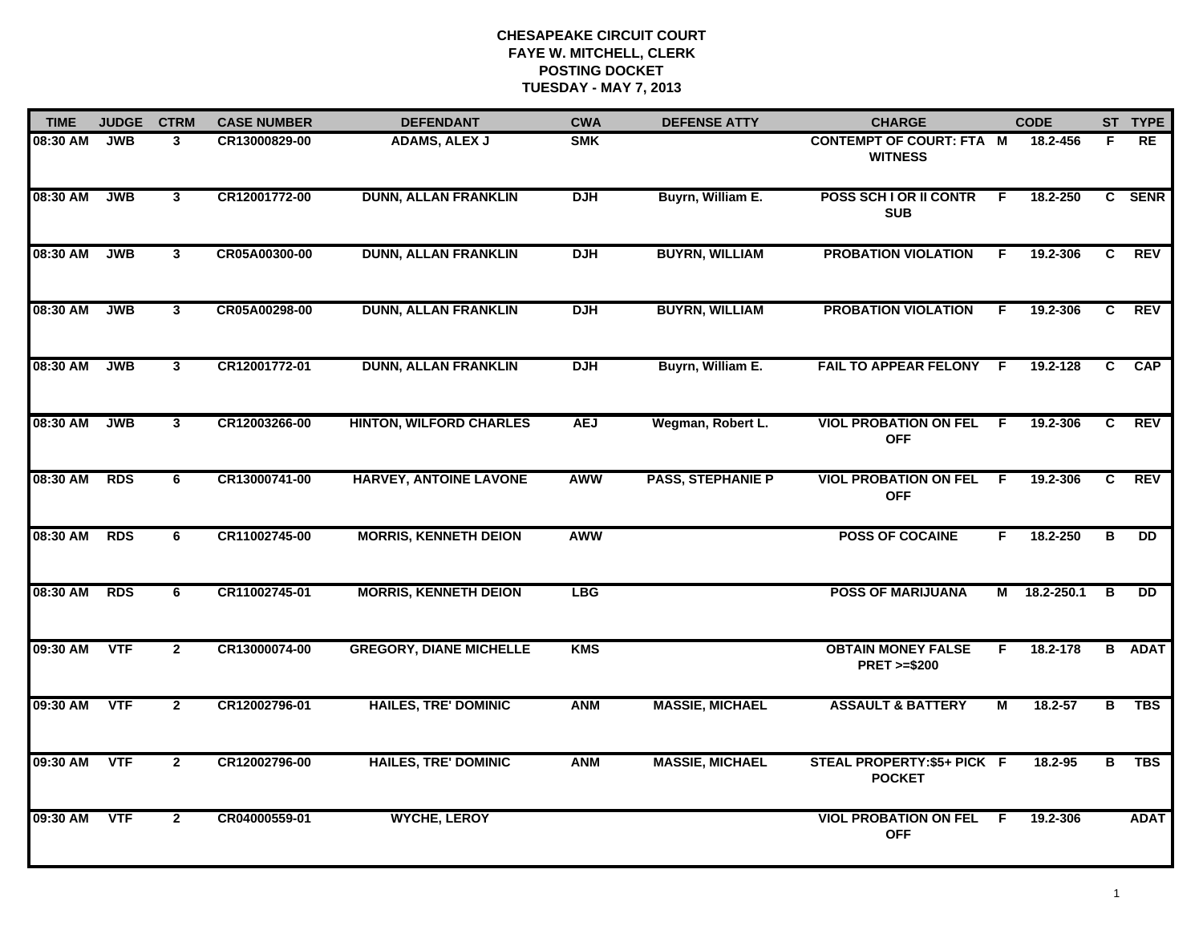| <b>TIME</b> | <b>JUDGE</b> | <b>CTRM</b>             | <b>CASE NUMBER</b> | <b>DEFENDANT</b>               | <b>CWA</b> | <b>DEFENSE ATTY</b>      | <b>CHARGE</b>                                       |                | <b>CODE</b>  |                | ST TYPE         |
|-------------|--------------|-------------------------|--------------------|--------------------------------|------------|--------------------------|-----------------------------------------------------|----------------|--------------|----------------|-----------------|
| 08:30 AM    | <b>JWB</b>   | 3                       | CR13000829-00      | <b>ADAMS, ALEX J</b>           | <b>SMK</b> |                          | <b>CONTEMPT OF COURT: FTA M</b><br><b>WITNESS</b>   |                | 18.2-456     | F              | RE              |
| 08:30 AM    | <b>JWB</b>   | $\mathbf{3}$            | CR12001772-00      | <b>DUNN, ALLAN FRANKLIN</b>    | <b>DJH</b> | Buyrn, William E.        | POSS SCH I OR II CONTR<br><b>SUB</b>                | F.             | 18.2-250     |                | C SENR          |
| 08:30 AM    | <b>JWB</b>   | 3                       | CR05A00300-00      | <b>DUNN, ALLAN FRANKLIN</b>    | <b>DJH</b> | <b>BUYRN, WILLIAM</b>    | <b>PROBATION VIOLATION</b>                          | F.             | 19.2-306     | C.             | REV             |
| 08:30 AM    | <b>JWB</b>   | $\mathbf{3}$            | CR05A00298-00      | <b>DUNN, ALLAN FRANKLIN</b>    | <b>DJH</b> | <b>BUYRN, WILLIAM</b>    | <b>PROBATION VIOLATION</b>                          | F.             | 19.2-306     | C              | <b>REV</b>      |
| 08:30 AM    | <b>JWB</b>   | $\mathbf{3}$            | CR12001772-01      | <b>DUNN, ALLAN FRANKLIN</b>    | <b>DJH</b> | Buyrn, William E.        | FAIL TO APPEAR FELONY F                             |                | 19.2-128     | C              | <b>CAP</b>      |
| 08:30 AM    | <b>JWB</b>   | $\overline{\mathbf{3}}$ | CR12003266-00      | <b>HINTON, WILFORD CHARLES</b> | <b>AEJ</b> | Wegman, Robert L.        | <b>VIOL PROBATION ON FEL F</b><br><b>OFF</b>        |                | 19.2-306     | C.             | <b>REV</b>      |
| 08:30 AM    | <b>RDS</b>   | 6                       | CR13000741-00      | <b>HARVEY, ANTOINE LAVONE</b>  | <b>AWW</b> | <b>PASS, STEPHANIE P</b> | <b>VIOL PROBATION ON FEL</b><br><b>OFF</b>          | $\overline{F}$ | 19.2-306     | $\overline{c}$ | <b>REV</b>      |
| 08:30 AM    | <b>RDS</b>   | 6                       | CR11002745-00      | <b>MORRIS, KENNETH DEION</b>   | <b>AWW</b> |                          | <b>POSS OF COCAINE</b>                              | F.             | 18.2-250     | в              | $\overline{DD}$ |
| 08:30 AM    | <b>RDS</b>   | 6                       | CR11002745-01      | <b>MORRIS, KENNETH DEION</b>   | <b>LBG</b> |                          | <b>POSS OF MARIJUANA</b>                            |                | M 18.2-250.1 | В              | DD.             |
| 09:30 AM    | VTF          | $\mathbf{2}$            | CR13000074-00      | <b>GREGORY, DIANE MICHELLE</b> | <b>KMS</b> |                          | <b>OBTAIN MONEY FALSE</b><br><b>PRET &gt;=\$200</b> | F.             | 18.2-178     |                | <b>B</b> ADAT   |
| 09:30 AM    | <b>VTF</b>   | $\mathbf{2}$            | CR12002796-01      | <b>HAILES, TRE' DOMINIC</b>    | <b>ANM</b> | <b>MASSIE, MICHAEL</b>   | <b>ASSAULT &amp; BATTERY</b>                        | М              | 18.2-57      | в              | <b>TBS</b>      |
| 09:30 AM    | <b>VTF</b>   | $\mathbf{2}$            | CR12002796-00      | <b>HAILES, TRE' DOMINIC</b>    | <b>ANM</b> | <b>MASSIE, MICHAEL</b>   | STEAL PROPERTY: \$5+ PICK F<br><b>POCKET</b>        |                | 18.2-95      | в              | <b>TBS</b>      |
| 09:30 AM    | <b>VTF</b>   | $\mathbf{2}$            | CR04000559-01      | <b>WYCHE, LEROY</b>            |            |                          | <b>VIOL PROBATION ON FEL</b><br><b>OFF</b>          | -F             | 19.2-306     |                | <b>ADAT</b>     |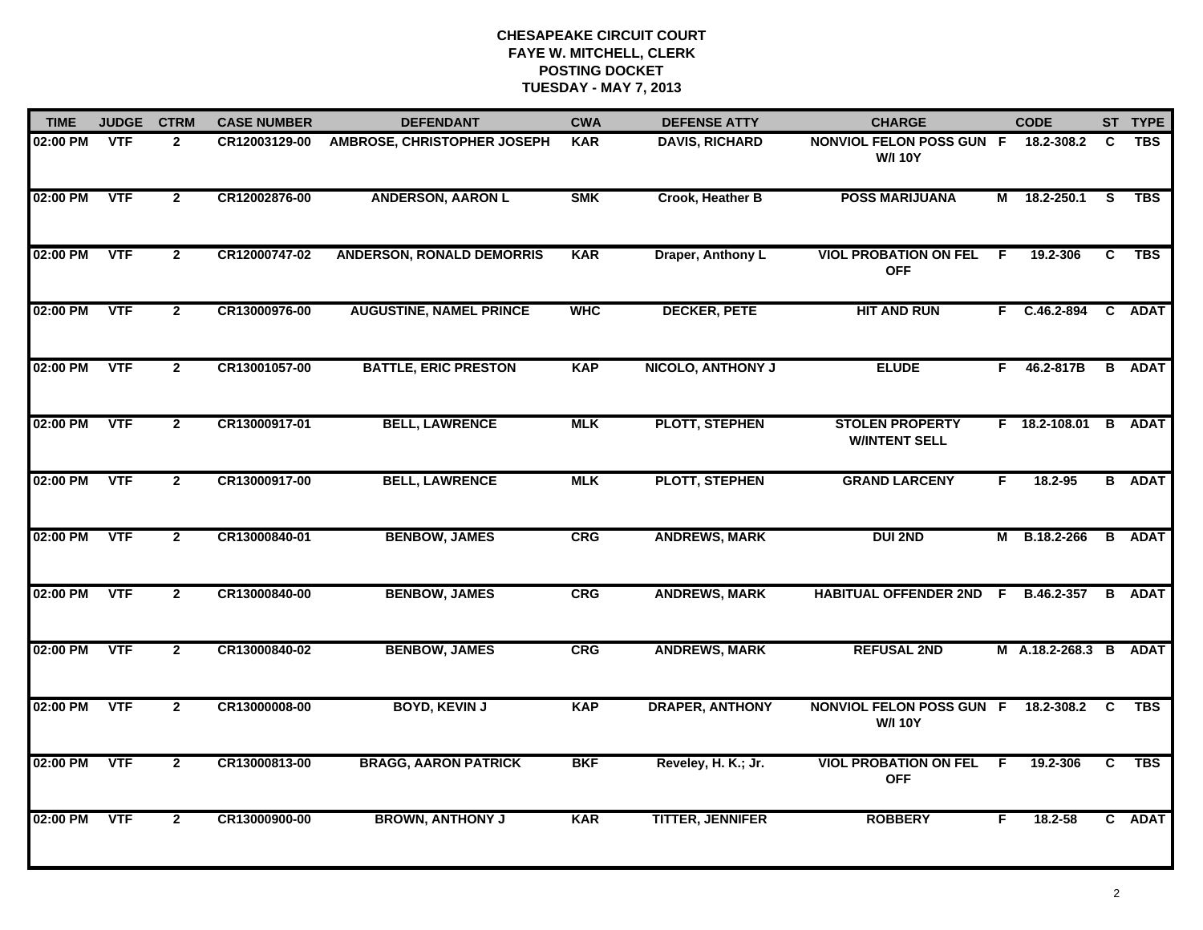| <b>TIME</b> | <b>JUDGE</b> | <b>CTRM</b>    | <b>CASE NUMBER</b> | <b>DEFENDANT</b>                   | <b>CWA</b> | <b>DEFENSE ATTY</b>      | <b>CHARGE</b>                                     |    | <b>CODE</b>           |          | ST TYPE       |
|-------------|--------------|----------------|--------------------|------------------------------------|------------|--------------------------|---------------------------------------------------|----|-----------------------|----------|---------------|
| 02:00 PM    | <b>VTF</b>   | $\mathbf{2}$   | CR12003129-00      | <b>AMBROSE, CHRISTOPHER JOSEPH</b> | <b>KAR</b> | <b>DAVIS, RICHARD</b>    | <b>NONVIOL FELON POSS GUN F</b><br><b>W/I 10Y</b> |    | 18.2-308.2            | C        | <b>TBS</b>    |
| 02:00 PM    | <b>VTF</b>   | $\overline{2}$ | CR12002876-00      | <b>ANDERSON, AARON L</b>           | <b>SMK</b> | Crook, Heather B         | <b>POSS MARIJUANA</b>                             | М  | 18.2-250.1            | <b>S</b> | <b>TBS</b>    |
| 02:00 PM    | <b>VTF</b>   | $\mathbf{2}$   | CR12000747-02      | <b>ANDERSON, RONALD DEMORRIS</b>   | <b>KAR</b> | Draper, Anthony L        | <b>VIOL PROBATION ON FEL</b><br><b>OFF</b>        | F  | 19.2-306              | C        | <b>TBS</b>    |
| 02:00 PM    | <b>VTF</b>   | $\overline{2}$ | CR13000976-00      | <b>AUGUSTINE, NAMEL PRINCE</b>     | <b>WHC</b> | <b>DECKER, PETE</b>      | <b>HIT AND RUN</b>                                |    | F C.46.2-894          |          | C ADAT        |
| 02:00 PM    | <b>VTF</b>   | $\overline{2}$ | CR13001057-00      | <b>BATTLE, ERIC PRESTON</b>        | <b>KAP</b> | <b>NICOLO, ANTHONY J</b> | <b>ELUDE</b>                                      | F. | 46.2-817B             |          | <b>B</b> ADAT |
| 02:00 PM    | <b>VTF</b>   | $\overline{2}$ | CR13000917-01      | <b>BELL, LAWRENCE</b>              | <b>MLK</b> | <b>PLOTT, STEPHEN</b>    | <b>STOLEN PROPERTY</b><br><b>W/INTENT SELL</b>    |    | F 18.2-108.01 B ADAT  |          |               |
| 02:00 PM    | <b>VTF</b>   | $\overline{2}$ | CR13000917-00      | <b>BELL, LAWRENCE</b>              | <b>MLK</b> | <b>PLOTT, STEPHEN</b>    | <b>GRAND LARCENY</b>                              | F. | 18.2-95               |          | <b>B</b> ADAT |
| 02:00 PM    | <b>VTF</b>   | $\overline{2}$ | CR13000840-01      | <b>BENBOW, JAMES</b>               | <b>CRG</b> | <b>ANDREWS, MARK</b>     | <b>DUI 2ND</b>                                    |    | M B.18.2-266          |          | <b>B</b> ADAT |
| 02:00 PM    | <b>VTF</b>   | $\overline{2}$ | CR13000840-00      | <b>BENBOW, JAMES</b>               | <b>CRG</b> | <b>ANDREWS, MARK</b>     | <b>HABITUAL OFFENDER 2ND F</b>                    |    | B.46.2-357            |          | <b>B</b> ADAT |
| 02:00 PM    | <b>VTF</b>   | $\overline{2}$ | CR13000840-02      | <b>BENBOW, JAMES</b>               | <b>CRG</b> | <b>ANDREWS, MARK</b>     | <b>REFUSAL 2ND</b>                                |    | M A.18.2-268.3 B ADAT |          |               |
| 02:00 PM    | <b>VTF</b>   | $\mathbf{2}$   | CR13000008-00      | <b>BOYD, KEVIN J</b>               | <b>KAP</b> | <b>DRAPER, ANTHONY</b>   | NONVIOL FELON POSS GUN F<br><b>W/I 10Y</b>        |    | 18.2-308.2 C          |          | <b>TBS</b>    |
| 02:00 PM    | <b>VTF</b>   | $\overline{2}$ | CR13000813-00      | <b>BRAGG, AARON PATRICK</b>        | <b>BKF</b> | Reveley, H. K.; Jr.      | <b>VIOL PROBATION ON FEL</b><br><b>OFF</b>        | F  | 19.2-306              | C        | <b>TBS</b>    |
| 02:00 PM    | <b>VTF</b>   | $\mathbf{2}$   | CR13000900-00      | <b>BROWN, ANTHONY J</b>            | <b>KAR</b> | <b>TITTER, JENNIFER</b>  | <b>ROBBERY</b>                                    | F  | 18.2-58               |          | C ADAT        |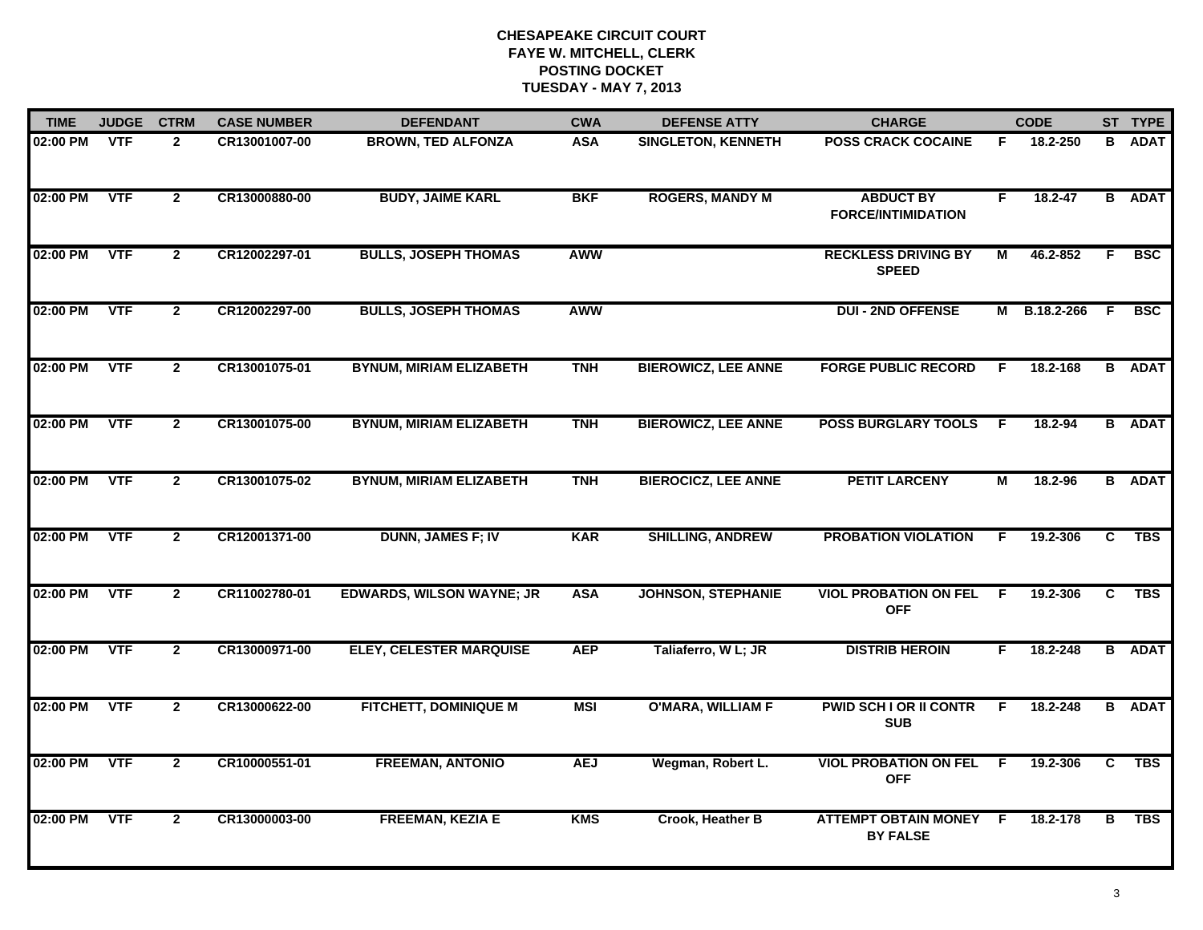| <b>TIME</b> | <b>JUDGE</b> | <b>CTRM</b>    | <b>CASE NUMBER</b> | <b>DEFENDANT</b>                 | <b>CWA</b> | <b>DEFENSE ATTY</b>        | <b>CHARGE</b>                                    |                | <b>CODE</b> |                | ST TYPE       |
|-------------|--------------|----------------|--------------------|----------------------------------|------------|----------------------------|--------------------------------------------------|----------------|-------------|----------------|---------------|
| 02:00 PM    | <b>VTF</b>   | $\overline{2}$ | CR13001007-00      | <b>BROWN, TED ALFONZA</b>        | <b>ASA</b> | <b>SINGLETON, KENNETH</b>  | <b>POSS CRACK COCAINE</b>                        | F.             | 18.2-250    | B              | <b>ADAT</b>   |
| 02:00 PM    | <b>VTF</b>   | $\overline{2}$ | CR13000880-00      | <b>BUDY, JAIME KARL</b>          | <b>BKF</b> | <b>ROGERS, MANDY M</b>     | <b>ABDUCT BY</b><br><b>FORCE/INTIMIDATION</b>    | F              | $18.2 - 47$ |                | <b>B</b> ADAT |
| 02:00 PM    | <b>VTF</b>   | $\overline{2}$ | CR12002297-01      | <b>BULLS, JOSEPH THOMAS</b>      | <b>AWW</b> |                            | <b>RECKLESS DRIVING BY</b><br><b>SPEED</b>       | М              | 46.2-852    | F.             | <b>BSC</b>    |
| 02:00 PM    | <b>VTF</b>   | $\mathbf{2}$   | CR12002297-00      | <b>BULLS, JOSEPH THOMAS</b>      | <b>AWW</b> |                            | <b>DUI - 2ND OFFENSE</b>                         | М              | B.18.2-266  | -F.            | <b>BSC</b>    |
| 02:00 PM    | <b>VTF</b>   | $\mathbf{2}$   | CR13001075-01      | <b>BYNUM, MIRIAM ELIZABETH</b>   | <b>TNH</b> | <b>BIEROWICZ, LEE ANNE</b> | <b>FORGE PUBLIC RECORD</b>                       | F.             | 18.2-168    |                | <b>B</b> ADAT |
| 02:00 PM    | <b>VTF</b>   | $\mathbf{2}$   | CR13001075-00      | <b>BYNUM, MIRIAM ELIZABETH</b>   | <b>TNH</b> | <b>BIEROWICZ, LEE ANNE</b> | <b>POSS BURGLARY TOOLS F</b>                     |                | 18.2-94     |                | <b>B</b> ADAT |
| 02:00 PM    | VTF          | $\overline{2}$ | CR13001075-02      | <b>BYNUM, MIRIAM ELIZABETH</b>   | <b>TNH</b> | <b>BIEROCICZ, LEE ANNE</b> | <b>PETIT LARCENY</b>                             | $\overline{M}$ | 18.2-96     |                | <b>B</b> ADAT |
| 02:00 PM    | <b>VTF</b>   | $\overline{2}$ | CR12001371-00      | <b>DUNN, JAMES F; IV</b>         | <b>KAR</b> | <b>SHILLING, ANDREW</b>    | <b>PROBATION VIOLATION</b>                       | F              | 19.2-306    | C              | <b>TBS</b>    |
| 02:00 PM    | <b>VTF</b>   | $\mathbf{2}$   | CR11002780-01      | <b>EDWARDS, WILSON WAYNE; JR</b> | <b>ASA</b> | <b>JOHNSON, STEPHANIE</b>  | <b>VIOL PROBATION ON FEL</b><br><b>OFF</b>       | -F             | 19.2-306    | C              | <b>TBS</b>    |
| 02:00 PM    | <b>VTF</b>   | $\overline{2}$ | CR13000971-00      | <b>ELEY, CELESTER MARQUISE</b>   | <b>AEP</b> | Taliaferro, W L; JR        | <b>DISTRIB HEROIN</b>                            | F.             | 18.2-248    |                | <b>B</b> ADAT |
| 02:00 PM    | <b>VTF</b>   | $\mathbf{2}$   | CR13000622-00      | <b>FITCHETT, DOMINIQUE M</b>     | <b>MSI</b> | <b>O'MARA, WILLIAM F</b>   | <b>PWID SCH I OR II CONTR</b><br><b>SUB</b>      | F.             | 18.2-248    |                | <b>B</b> ADAT |
| 02:00 PM    | <b>VTF</b>   | $\overline{2}$ | CR10000551-01      | <b>FREEMAN, ANTONIO</b>          | <b>AEJ</b> | Wegman, Robert L.          | <b>VIOL PROBATION ON FEL</b><br><b>OFF</b>       | $\overline{F}$ | 19.2-306    | $\overline{c}$ | <b>TBS</b>    |
| 02:00 PM    | <b>VTF</b>   | $\mathbf{2}$   | CR13000003-00      | <b>FREEMAN, KEZIA E</b>          | <b>KMS</b> | Crook, Heather B           | <b>ATTEMPT OBTAIN MONEY F</b><br><b>BY FALSE</b> |                | 18.2-178    | В              | <b>TBS</b>    |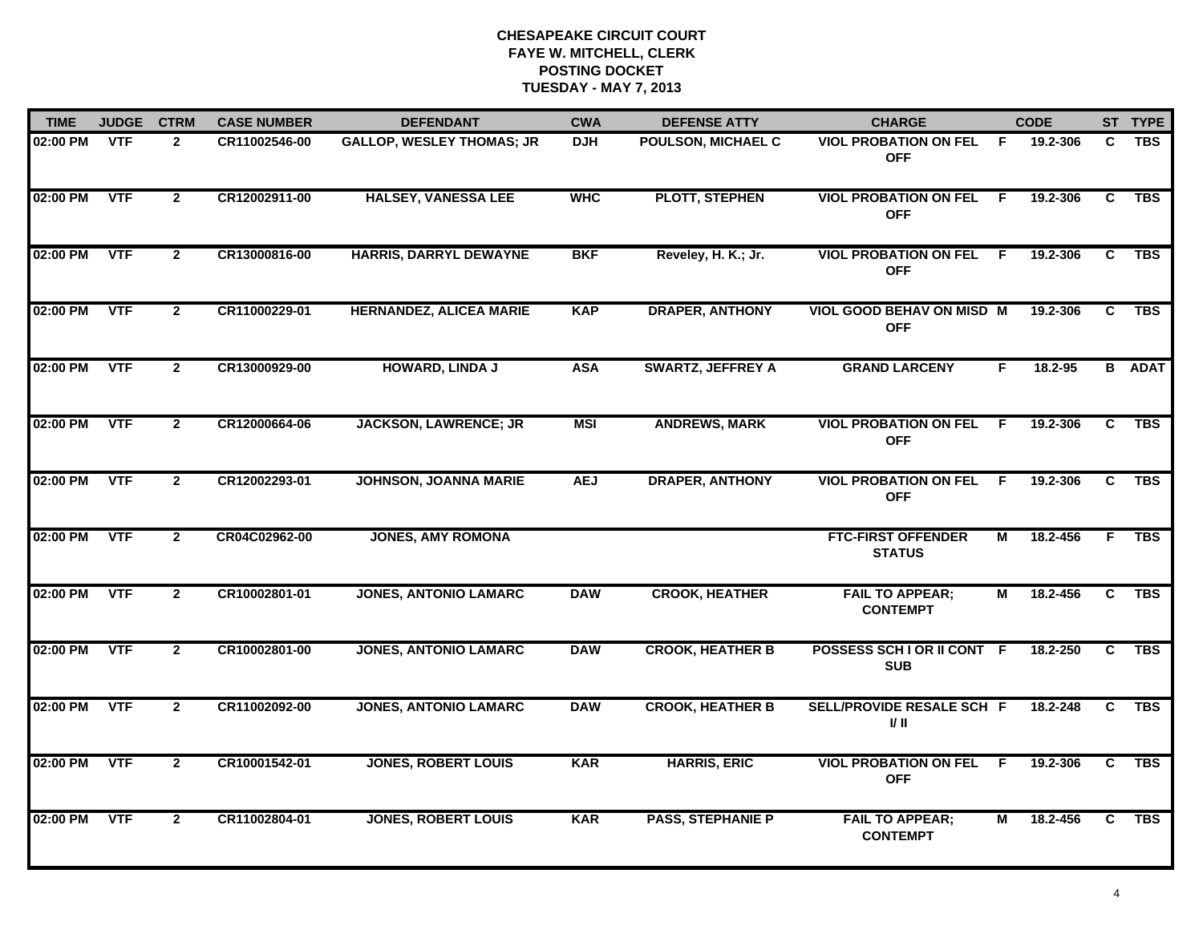| <b>TIME</b> | <b>JUDGE</b> | <b>CTRM</b>    | <b>CASE NUMBER</b> | <b>DEFENDANT</b>                 | <b>CWA</b> | <b>DEFENSE ATTY</b>      | <b>CHARGE</b>                                  |     | <b>CODE</b> |                | ST TYPE       |
|-------------|--------------|----------------|--------------------|----------------------------------|------------|--------------------------|------------------------------------------------|-----|-------------|----------------|---------------|
| 02:00 PM    | <b>VTF</b>   | $\mathbf{2}$   | CR11002546-00      | <b>GALLOP, WESLEY THOMAS; JR</b> | <b>DJH</b> | POULSON, MICHAEL C       | <b>VIOL PROBATION ON FEL</b><br><b>OFF</b>     | -F  | 19.2-306    | C.             | <b>TBS</b>    |
| 02:00 PM    | <b>VTF</b>   | $\overline{2}$ | CR12002911-00      | <b>HALSEY, VANESSA LEE</b>       | <b>WHC</b> | <b>PLOTT, STEPHEN</b>    | <b>VIOL PROBATION ON FEL</b><br><b>OFF</b>     | - F | 19.2-306    | C              | <b>TBS</b>    |
| 02:00 PM    | <b>VTF</b>   | $\mathbf{2}$   | CR13000816-00      | HARRIS, DARRYL DEWAYNE           | <b>BKF</b> | Reveley, H. K.; Jr.      | <b>VIOL PROBATION ON FEL</b><br><b>OFF</b>     | F.  | 19.2-306    | C              | <b>TBS</b>    |
| 02:00 PM    | <b>VTF</b>   | $\overline{2}$ | CR11000229-01      | <b>HERNANDEZ, ALICEA MARIE</b>   | <b>KAP</b> | <b>DRAPER, ANTHONY</b>   | <b>VIOL GOOD BEHAV ON MISD M</b><br><b>OFF</b> |     | 19.2-306    | C.             | <b>TBS</b>    |
| 02:00 PM    | <b>VTF</b>   | $\overline{2}$ | CR13000929-00      | <b>HOWARD, LINDA J</b>           | <b>ASA</b> | <b>SWARTZ, JEFFREY A</b> | <b>GRAND LARCENY</b>                           | F.  | 18.2-95     |                | <b>B</b> ADAT |
| 02:00 PM    | <b>VTF</b>   | $\mathbf{2}$   | CR12000664-06      | <b>JACKSON, LAWRENCE; JR</b>     | <b>MSI</b> | <b>ANDREWS, MARK</b>     | <b>VIOL PROBATION ON FEL</b><br><b>OFF</b>     | - F | 19.2-306    | C.             | <b>TBS</b>    |
| 02:00 PM    | <b>VTF</b>   | $\overline{2}$ | CR12002293-01      | <b>JOHNSON, JOANNA MARIE</b>     | <b>AEJ</b> | <b>DRAPER, ANTHONY</b>   | <b>VIOL PROBATION ON FEL</b><br><b>OFF</b>     | F.  | 19.2-306    | C              | <b>TBS</b>    |
| 02:00 PM    | <b>VTF</b>   | $\overline{2}$ | CR04C02962-00      | <b>JONES, AMY ROMONA</b>         |            |                          | <b>FTC-FIRST OFFENDER</b><br><b>STATUS</b>     | М   | 18.2-456    | F.             | <b>TBS</b>    |
| 02:00 PM    | <b>VTF</b>   | $\overline{2}$ | CR10002801-01      | <b>JONES, ANTONIO LAMARC</b>     | <b>DAW</b> | <b>CROOK, HEATHER</b>    | <b>FAIL TO APPEAR;</b><br><b>CONTEMPT</b>      | М   | 18.2-456    | C              | <b>TBS</b>    |
| 02:00 PM    | <b>VTF</b>   | $\overline{2}$ | CR10002801-00      | <b>JONES, ANTONIO LAMARC</b>     | <b>DAW</b> | <b>CROOK, HEATHER B</b>  | POSSESS SCH I OR II CONT F<br><b>SUB</b>       |     | 18.2-250    | C.             | <b>TBS</b>    |
| 02:00 PM    | <b>VTF</b>   | $\mathbf{2}$   | CR11002092-00      | <b>JONES, ANTONIO LAMARC</b>     | <b>DAW</b> | <b>CROOK, HEATHER B</b>  | SELL/PROVIDE RESALE SCH F<br>I/ II             |     | 18.2-248    | C              | <b>TBS</b>    |
| 02:00 PM    | <b>VTF</b>   | $\overline{2}$ | CR10001542-01      | <b>JONES, ROBERT LOUIS</b>       | <b>KAR</b> | <b>HARRIS, ERIC</b>      | <b>VIOL PROBATION ON FEL</b><br><b>OFF</b>     | F.  | 19.2-306    | $\overline{c}$ | <b>TBS</b>    |
| 02:00 PM    | <b>VTF</b>   | $\mathbf{2}$   | CR11002804-01      | <b>JONES, ROBERT LOUIS</b>       | <b>KAR</b> | <b>PASS, STEPHANIE P</b> | <b>FAIL TO APPEAR;</b><br><b>CONTEMPT</b>      | М   | 18.2-456    | C              | <b>TBS</b>    |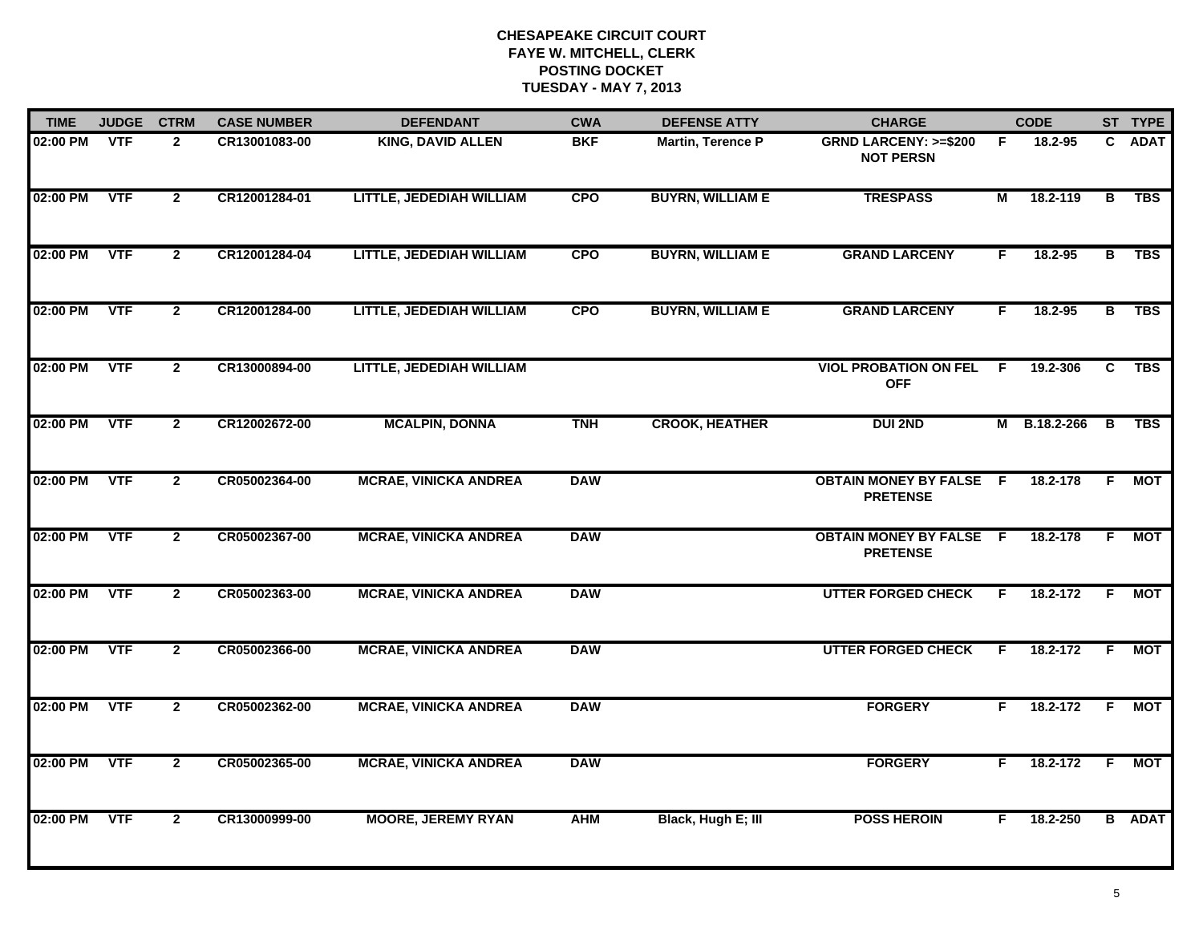| <b>TIME</b> | <b>JUDGE</b> | <b>CTRM</b>    | <b>CASE NUMBER</b> | <b>DEFENDANT</b>             | <b>CWA</b> | <b>DEFENSE ATTY</b>      | <b>CHARGE</b>                                       |    | <b>CODE</b>  |                         | ST TYPE       |
|-------------|--------------|----------------|--------------------|------------------------------|------------|--------------------------|-----------------------------------------------------|----|--------------|-------------------------|---------------|
| 02:00 PM    | <b>VTF</b>   | $\mathbf{2}$   | CR13001083-00      | <b>KING, DAVID ALLEN</b>     | <b>BKF</b> | <b>Martin, Terence P</b> | <b>GRND LARCENY: &gt;=\$200</b><br><b>NOT PERSN</b> | F. | 18.2-95      |                         | C ADAT        |
| 02:00 PM    | <b>VTF</b>   | $\overline{2}$ | CR12001284-01      | LITTLE, JEDEDIAH WILLIAM     | <b>CPO</b> | <b>BUYRN, WILLIAM E</b>  | <b>TRESPASS</b>                                     | М  | 18.2-119     | $\overline{\mathbf{B}}$ | <b>TBS</b>    |
| 02:00 PM    | <b>VTF</b>   | $\overline{2}$ | CR12001284-04      | LITTLE, JEDEDIAH WILLIAM     | <b>CPO</b> | <b>BUYRN, WILLIAM E</b>  | <b>GRAND LARCENY</b>                                | F  | 18.2-95      | В                       | TBS           |
| 02:00 PM    | <b>VTF</b>   | $\mathbf{2}$   | CR12001284-00      | LITTLE, JEDEDIAH WILLIAM     | <b>CPO</b> | <b>BUYRN, WILLIAM E</b>  | <b>GRAND LARCENY</b>                                | F. | $18.2 - 95$  | в                       | <b>TBS</b>    |
| 02:00 PM    | <b>VTF</b>   | $\mathbf{2}$   | CR13000894-00      | LITTLE, JEDEDIAH WILLIAM     |            |                          | <b>VIOL PROBATION ON FEL F</b><br><b>OFF</b>        |    | 19.2-306     | C                       | <b>TBS</b>    |
| 02:00 PM    | <b>VTF</b>   | $\mathbf{2}$   | CR12002672-00      | <b>MCALPIN, DONNA</b>        | <b>TNH</b> | <b>CROOK, HEATHER</b>    | <b>DUI 2ND</b>                                      |    | M B.18.2-266 | $\overline{B}$          | TBS           |
| 02:00 PM    | <b>VTF</b>   | $\overline{2}$ | CR05002364-00      | <b>MCRAE, VINICKA ANDREA</b> | <b>DAW</b> |                          | <b>OBTAIN MONEY BY FALSE F</b><br><b>PRETENSE</b>   |    | 18.2-178     | F.                      | <b>MOT</b>    |
| 02:00 PM    | <b>VTF</b>   | $\overline{2}$ | CR05002367-00      | <b>MCRAE, VINICKA ANDREA</b> | <b>DAW</b> |                          | <b>OBTAIN MONEY BY FALSE F</b><br><b>PRETENSE</b>   |    | 18.2-178     | F.                      | <b>MOT</b>    |
| 02:00 PM    | <b>VTF</b>   | $\mathbf{2}$   | CR05002363-00      | <b>MCRAE, VINICKA ANDREA</b> | <b>DAW</b> |                          | <b>UTTER FORGED CHECK</b>                           | F. | 18.2-172     | F.                      | MOT           |
| 02:00 PM    | <b>VTF</b>   | $\mathbf{2}$   | CR05002366-00      | <b>MCRAE, VINICKA ANDREA</b> | <b>DAW</b> |                          | <b>UTTER FORGED CHECK</b>                           | F. | 18.2-172     | E                       | <b>MOT</b>    |
| 02:00 PM    | <b>VTF</b>   | $\mathbf{2}$   | CR05002362-00      | <b>MCRAE, VINICKA ANDREA</b> | <b>DAW</b> |                          | <b>FORGERY</b>                                      | F. | 18.2-172     | <b>F</b>                | <b>MOT</b>    |
| 02:00 PM    | <b>VTF</b>   | $\overline{2}$ | CR05002365-00      | <b>MCRAE, VINICKA ANDREA</b> | <b>DAW</b> |                          | <b>FORGERY</b>                                      | F. | 18.2-172     | $\overline{F}$          | <b>MOT</b>    |
| 02:00 PM    | <b>VTF</b>   | $\overline{2}$ | CR13000999-00      | <b>MOORE, JEREMY RYAN</b>    | <b>AHM</b> | Black, Hugh E; III       | <b>POSS HEROIN</b>                                  | F. | 18.2-250     |                         | <b>B</b> ADAT |
|             |              |                |                    |                              |            |                          |                                                     |    |              |                         |               |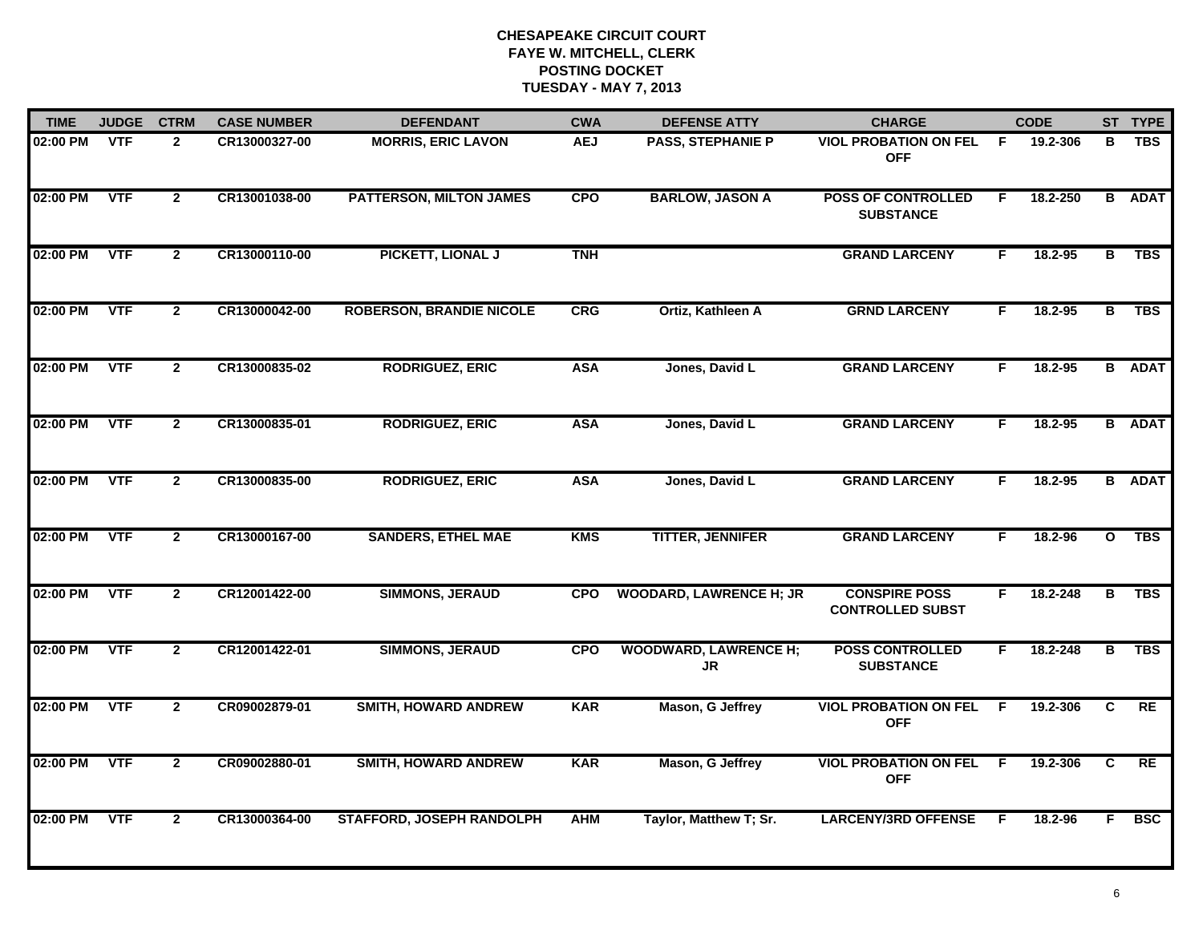| <b>TIME</b> | <b>JUDGE</b> | <b>CTRM</b>    | <b>CASE NUMBER</b> | <b>DEFENDANT</b>                 | <b>CWA</b> | <b>DEFENSE ATTY</b>                | <b>CHARGE</b>                                   |              | <b>CODE</b> |              | ST TYPE       |
|-------------|--------------|----------------|--------------------|----------------------------------|------------|------------------------------------|-------------------------------------------------|--------------|-------------|--------------|---------------|
| 02:00 PM    | <b>VTF</b>   | $\mathbf{2}$   | CR13000327-00      | <b>MORRIS, ERIC LAVON</b>        | <b>AEJ</b> | <b>PASS, STEPHANIE P</b>           | <b>VIOL PROBATION ON FEL</b><br><b>OFF</b>      | F.           | 19.2-306    | в            | <b>TBS</b>    |
| 02:00 PM    | <b>VTF</b>   | $\overline{2}$ | CR13001038-00      | <b>PATTERSON, MILTON JAMES</b>   | <b>CPO</b> | <b>BARLOW, JASON A</b>             | <b>POSS OF CONTROLLED</b><br><b>SUBSTANCE</b>   | F.           | 18.2-250    | B            | <b>ADAT</b>   |
| 02:00 PM    | <b>VTF</b>   | $\mathbf{2}$   | CR13000110-00      | PICKETT, LIONAL J                | <b>TNH</b> |                                    | <b>GRAND LARCENY</b>                            | F.           | 18.2-95     | в            | <b>TBS</b>    |
| 02:00 PM    | <b>VTF</b>   | $\mathbf{2}$   | CR13000042-00      | <b>ROBERSON, BRANDIE NICOLE</b>  | CRG        | Ortiz, Kathleen A                  | <b>GRND LARCENY</b>                             | F.           | $18.2 - 95$ | в            | <b>TBS</b>    |
| 02:00 PM    | <b>VTF</b>   | $\overline{2}$ | CR13000835-02      | <b>RODRIGUEZ, ERIC</b>           | <b>ASA</b> | Jones, David L                     | <b>GRAND LARCENY</b>                            | F.           | 18.2-95     |              | <b>B</b> ADAT |
| 02:00 PM    | <b>VTF</b>   | $\mathbf{2}$   | CR13000835-01      | <b>RODRIGUEZ, ERIC</b>           | <b>ASA</b> | Jones, David L                     | <b>GRAND LARCENY</b>                            | F.           | 18.2-95     |              | <b>B</b> ADAT |
| 02:00 PM    | <b>VTF</b>   | $\overline{2}$ | CR13000835-00      | <b>RODRIGUEZ, ERIC</b>           | <b>ASA</b> | Jones, David L                     | <b>GRAND LARCENY</b>                            | F.           | 18.2-95     |              | <b>B</b> ADAT |
| 02:00 PM    | <b>VTF</b>   | $\overline{2}$ | CR13000167-00      | <b>SANDERS, ETHEL MAE</b>        | <b>KMS</b> | <b>TITTER, JENNIFER</b>            | <b>GRAND LARCENY</b>                            | F.           | 18.2-96     | $\mathbf{o}$ | <b>TBS</b>    |
| 02:00 PM    | <b>VTF</b>   | $\overline{2}$ | CR12001422-00      | <b>SIMMONS, JERAUD</b>           | <b>CPO</b> | <b>WOODARD, LAWRENCE H; JR</b>     | <b>CONSPIRE POSS</b><br><b>CONTROLLED SUBST</b> | F.           | 18.2-248    | в            | <b>TBS</b>    |
| 02:00 PM    | <b>VTF</b>   | $\overline{2}$ | CR12001422-01      | <b>SIMMONS, JERAUD</b>           | <b>CPO</b> | <b>WOODWARD, LAWRENCE H;</b><br>JR | <b>POSS CONTROLLED</b><br><b>SUBSTANCE</b>      | F.           | 18.2-248    | в            | <b>TBS</b>    |
| 02:00 PM    | <b>VTF</b>   | $\mathbf{2}$   | CR09002879-01      | <b>SMITH, HOWARD ANDREW</b>      | <b>KAR</b> | Mason, G Jeffrey                   | <b>VIOL PROBATION ON FEL</b><br><b>OFF</b>      | F.           | 19.2-306    | C            | RE            |
| 02:00 PM    | <b>VTF</b>   | $\overline{2}$ | CR09002880-01      | <b>SMITH, HOWARD ANDREW</b>      | <b>KAR</b> | Mason, G Jeffrey                   | <b>VIOL PROBATION ON FEL</b><br><b>OFF</b>      | $\mathsf{F}$ | 19.2-306    | C            | <b>RE</b>     |
| 02:00 PM    | <b>VTF</b>   | $\overline{2}$ | CR13000364-00      | <b>STAFFORD, JOSEPH RANDOLPH</b> | <b>AHM</b> | Taylor, Matthew T; Sr.             | <b>LARCENY/3RD OFFENSE</b>                      | E            | 18.2-96     | F.           | <b>BSC</b>    |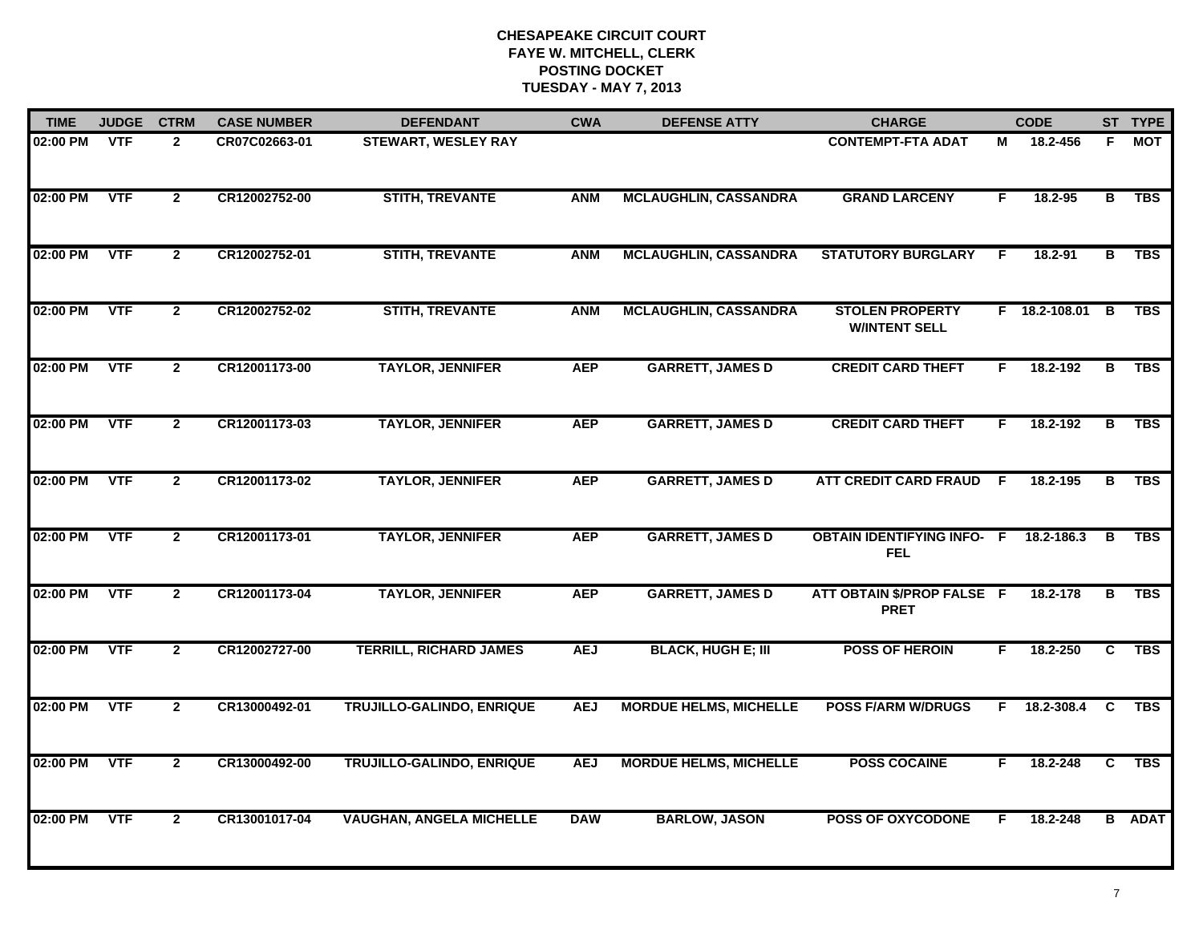| <b>TIME</b> | <b>JUDGE</b> | <b>CTRM</b>    | <b>CASE NUMBER</b> | <b>DEFENDANT</b>                 | <b>CWA</b> | <b>DEFENSE ATTY</b>           | <b>CHARGE</b>                                   |     | <b>CODE</b>   |                | ST TYPE       |
|-------------|--------------|----------------|--------------------|----------------------------------|------------|-------------------------------|-------------------------------------------------|-----|---------------|----------------|---------------|
| 02:00 PM    | VTF          | $\mathbf{2}$   | CR07C02663-01      | <b>STEWART, WESLEY RAY</b>       |            |                               | <b>CONTEMPT-FTA ADAT</b>                        | М   | 18.2-456      | F.             | MOT           |
| 02:00 PM    | <b>VTF</b>   | $\overline{2}$ | CR12002752-00      | <b>STITH, TREVANTE</b>           | <b>ANM</b> | <b>MCLAUGHLIN, CASSANDRA</b>  | <b>GRAND LARCENY</b>                            | F.  | 18.2-95       | в              | TBS           |
| 02:00 PM    | <b>VTF</b>   | $\mathbf{2}$   | CR12002752-01      | <b>STITH, TREVANTE</b>           | <b>ANM</b> | <b>MCLAUGHLIN, CASSANDRA</b>  | <b>STATUTORY BURGLARY</b>                       | E   | 18.2-91       | в              | <b>TBS</b>    |
| 02:00 PM    | <b>VTF</b>   | $\mathbf{2}$   | CR12002752-02      | <b>STITH, TREVANTE</b>           | <b>ANM</b> | <b>MCLAUGHLIN, CASSANDRA</b>  | <b>STOLEN PROPERTY</b><br><b>W/INTENT SELL</b>  |     | F 18.2-108.01 | $\overline{B}$ | <b>TBS</b>    |
| 02:00 PM    | <b>VTF</b>   | $\overline{2}$ | CR12001173-00      | <b>TAYLOR, JENNIFER</b>          | <b>AEP</b> | <b>GARRETT, JAMES D</b>       | <b>CREDIT CARD THEFT</b>                        | F.  | 18.2-192      | B              | <b>TBS</b>    |
| 02:00 PM    | <b>VTF</b>   | $\overline{2}$ | CR12001173-03      | <b>TAYLOR, JENNIFER</b>          | <b>AEP</b> | <b>GARRETT, JAMES D</b>       | <b>CREDIT CARD THEFT</b>                        | F.  | 18.2-192      | В              | <b>TBS</b>    |
| 02:00 PM    | <b>VTF</b>   | $\overline{2}$ | CR12001173-02      | <b>TAYLOR, JENNIFER</b>          | <b>AEP</b> | <b>GARRETT, JAMES D</b>       | <b>ATT CREDIT CARD FRAUD</b>                    | -F. | 18.2-195      | $\overline{B}$ | <b>TBS</b>    |
| 02:00 PM    | <b>VTF</b>   | $\mathbf{2}$   | CR12001173-01      | <b>TAYLOR, JENNIFER</b>          | <b>AEP</b> | <b>GARRETT, JAMES D</b>       | <b>OBTAIN IDENTIFYING INFO- F</b><br><b>FEL</b> |     | 18.2-186.3    | B              | <b>TBS</b>    |
| 02:00 PM    | <b>VTF</b>   | $\mathbf{2}$   | CR12001173-04      | <b>TAYLOR, JENNIFER</b>          | <b>AEP</b> | <b>GARRETT, JAMES D</b>       | ATT OBTAIN \$/PROP FALSE F<br><b>PRET</b>       |     | 18.2-178      |                | B TBS         |
| 02:00 PM    | <b>VTF</b>   | $\overline{2}$ | CR12002727-00      | <b>TERRILL, RICHARD JAMES</b>    | <b>AEJ</b> | <b>BLACK, HUGH E; III</b>     | <b>POSS OF HEROIN</b>                           | F.  | 18.2-250      | C              | <b>TBS</b>    |
| 02:00 PM    | <b>VTF</b>   | $\overline{2}$ | CR13000492-01      | <b>TRUJILLO-GALINDO, ENRIQUE</b> | <b>AEJ</b> | <b>MORDUE HELMS, MICHELLE</b> | <b>POSS F/ARM W/DRUGS</b>                       | F.  | 18.2-308.4    | <b>C</b>       | <b>TBS</b>    |
| 02:00 PM    | <b>VTF</b>   | $\overline{2}$ | CR13000492-00      | <b>TRUJILLO-GALINDO, ENRIQUE</b> | <b>AEJ</b> | <b>MORDUE HELMS, MICHELLE</b> | <b>POSS COCAINE</b>                             | F   | 18.2-248      | C              | <b>TBS</b>    |
| 02:00 PM    | <b>VTF</b>   | $\overline{2}$ | CR13001017-04      | <b>VAUGHAN, ANGELA MICHELLE</b>  | <b>DAW</b> | <b>BARLOW, JASON</b>          | <b>POSS OF OXYCODONE</b>                        | F   | 18.2-248      |                | <b>B</b> ADAT |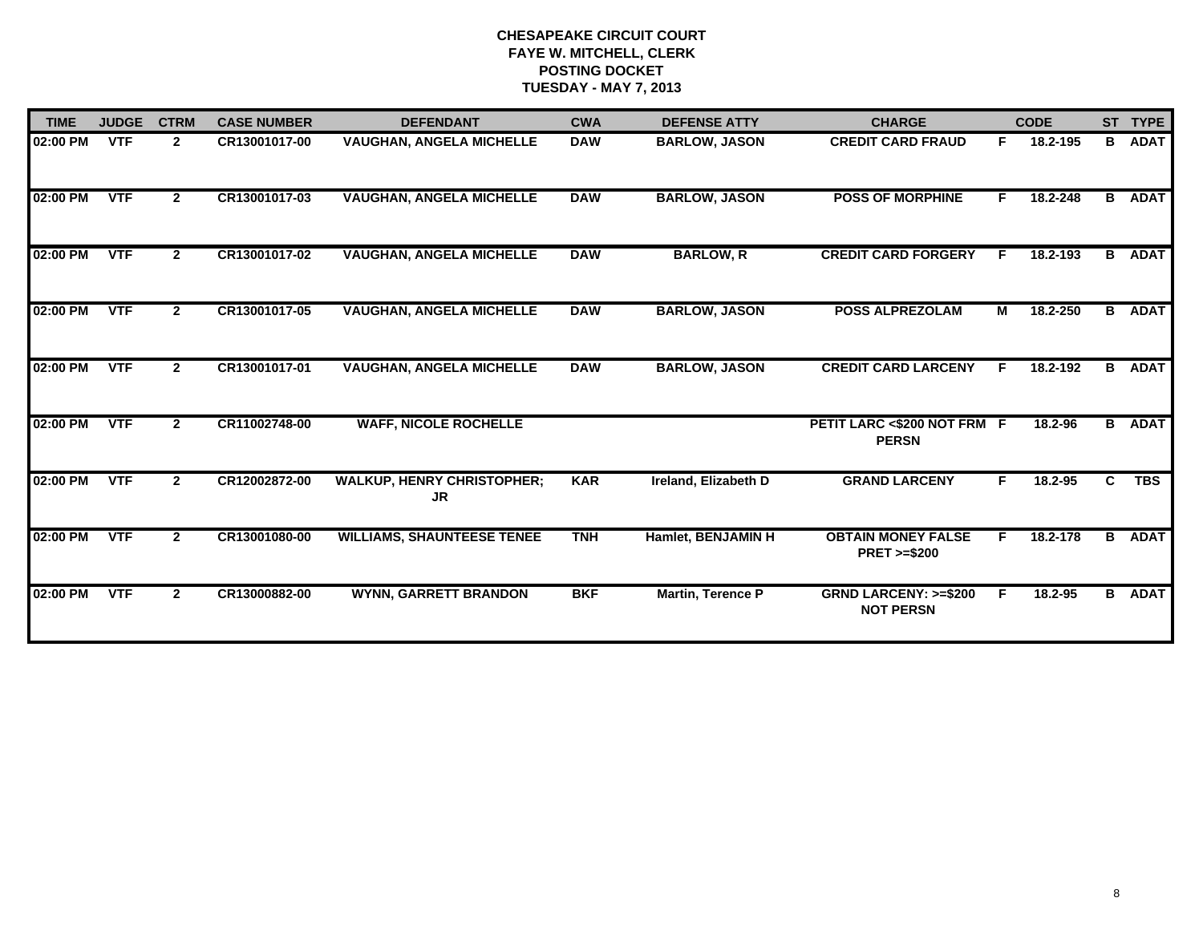| <b>TIME</b> | <b>JUDGE</b> | <b>CTRM</b>  | <b>CASE NUMBER</b> | <b>DEFENDANT</b>                               | <b>CWA</b> | <b>DEFENSE ATTY</b>      | <b>CHARGE</b>                                       |    | <b>CODE</b> |    | ST TYPE       |
|-------------|--------------|--------------|--------------------|------------------------------------------------|------------|--------------------------|-----------------------------------------------------|----|-------------|----|---------------|
| 02:00 PM    | <b>VTF</b>   | $\mathbf{2}$ | CR13001017-00      | <b>VAUGHAN, ANGELA MICHELLE</b>                | <b>DAW</b> | <b>BARLOW, JASON</b>     | <b>CREDIT CARD FRAUD</b>                            | F. | 18.2-195    | B  | <b>ADAT</b>   |
| 02:00 PM    | <b>VTF</b>   | $\mathbf{2}$ | CR13001017-03      | <b>VAUGHAN, ANGELA MICHELLE</b>                | <b>DAW</b> | <b>BARLOW, JASON</b>     | <b>POSS OF MORPHINE</b>                             | F. | 18.2-248    | B  | <b>ADAT</b>   |
| 02:00 PM    | <b>VTF</b>   | $\mathbf{2}$ | CR13001017-02      | <b>VAUGHAN, ANGELA MICHELLE</b>                | <b>DAW</b> | <b>BARLOW, R</b>         | <b>CREDIT CARD FORGERY</b>                          |    | 18.2-193    | B  | <b>ADAT</b>   |
| 02:00 PM    | <b>VTF</b>   | $\mathbf{2}$ | CR13001017-05      | <b>VAUGHAN, ANGELA MICHELLE</b>                | <b>DAW</b> | <b>BARLOW, JASON</b>     | <b>POSS ALPREZOLAM</b>                              | М  | 18.2-250    | B  | <b>ADAT</b>   |
| 02:00 PM    | <b>VTF</b>   | $\mathbf{2}$ | CR13001017-01      | <b>VAUGHAN, ANGELA MICHELLE</b>                | <b>DAW</b> | <b>BARLOW, JASON</b>     | <b>CREDIT CARD LARCENY</b>                          | F. | 18.2-192    | B  | <b>ADAT</b>   |
| 02:00 PM    | <b>VTF</b>   | $\mathbf{2}$ | CR11002748-00      | <b>WAFF, NICOLE ROCHELLE</b>                   |            |                          | PETIT LARC <\$200 NOT FRM F<br><b>PERSN</b>         |    | 18.2-96     |    | <b>B</b> ADAT |
| 02:00 PM    | <b>VTF</b>   | $\mathbf{2}$ | CR12002872-00      | <b>WALKUP, HENRY CHRISTOPHER;</b><br><b>JR</b> | <b>KAR</b> | Ireland, Elizabeth D     | <b>GRAND LARCENY</b>                                | F. | 18.2-95     | C. | <b>TBS</b>    |
| 02:00 PM    | <b>VTF</b>   | $\mathbf{2}$ | CR13001080-00      | <b>WILLIAMS, SHAUNTEESE TENEE</b>              | <b>TNH</b> | Hamlet, BENJAMIN H       | <b>OBTAIN MONEY FALSE</b><br><b>PRET &gt;=\$200</b> | F. | 18.2-178    | B  | <b>ADAT</b>   |
| 02:00 PM    | <b>VTF</b>   | $\mathbf{2}$ | CR13000882-00      | <b>WYNN, GARRETT BRANDON</b>                   | <b>BKF</b> | <b>Martin, Terence P</b> | <b>GRND LARCENY: &gt;=\$200</b><br><b>NOT PERSN</b> | F. | 18.2-95     |    | <b>B</b> ADAT |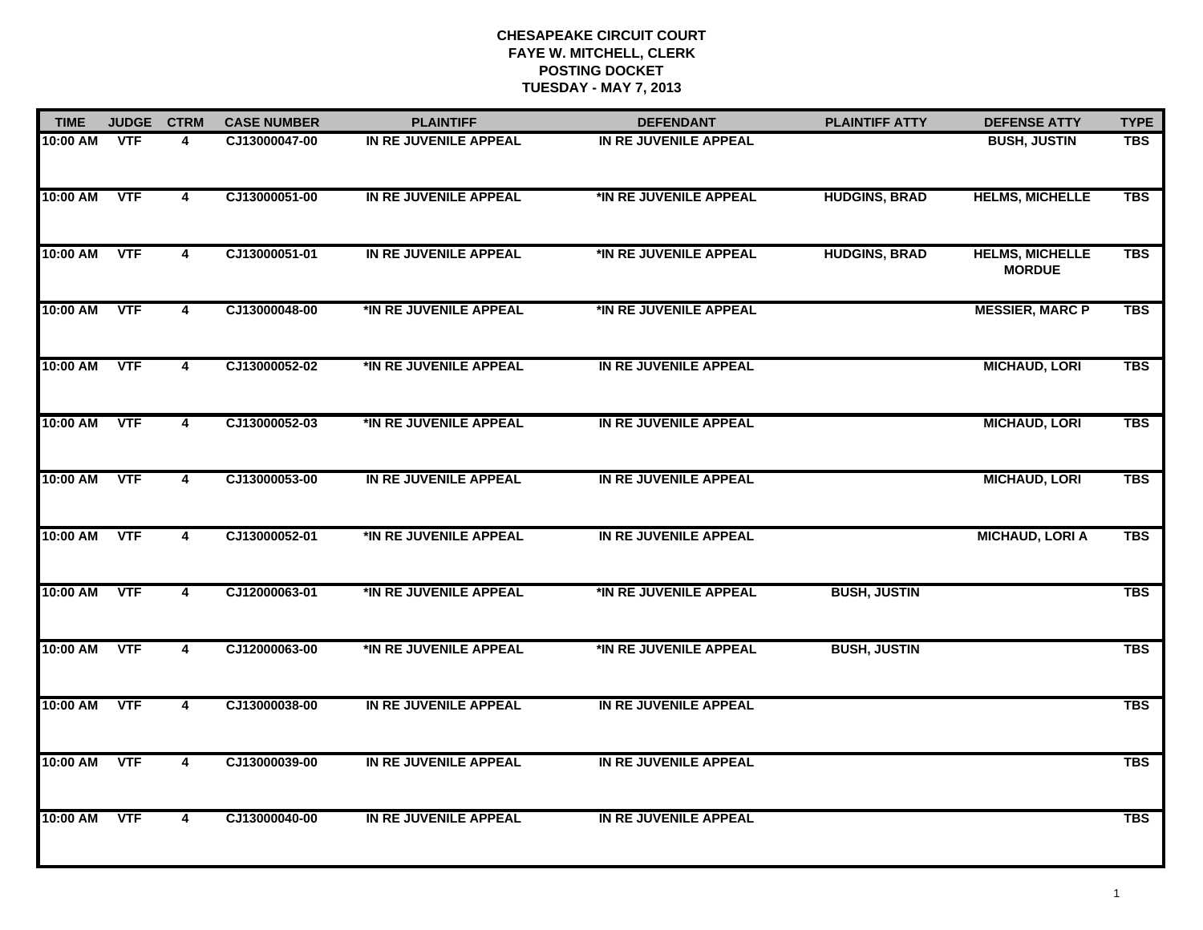| <b>JUDGE</b>           | <b>DEFENSE ATTY</b>                                   |
|------------------------|-------------------------------------------------------|
| <b>TIME</b>            | <b>TYPE</b>                                           |
| 10:00 AM               | <b>BUSH, JUSTIN</b>                                   |
| <b>VTF</b>             | <b>TBS</b>                                            |
| 10:00 AM               | <b>HELMS, MICHELLE</b>                                |
| <b>VTF</b>             | <b>TBS</b>                                            |
| <b>VTF</b><br>10:00 AM | <b>HELMS, MICHELLE</b><br><b>TBS</b><br><b>MORDUE</b> |
| <b>VTF</b>             | <b>MESSIER, MARC P</b>                                |
| 10:00 AM               | <b>TBS</b>                                            |
| <b>VTF</b>             | <b>MICHAUD, LORI</b>                                  |
| 10:00 AM               | <b>TBS</b>                                            |
| <b>VTF</b>             | <b>TBS</b>                                            |
| 10:00 AM               | <b>MICHAUD, LORI</b>                                  |
| <b>VTF</b>             | <b>MICHAUD, LORI</b>                                  |
| 10:00 AM               | <b>TBS</b>                                            |
| <b>VTF</b>             | <b>MICHAUD, LORI A</b>                                |
| 10:00 AM               | <b>TBS</b>                                            |
| 10:00 AM<br><b>VTF</b> | <b>TBS</b>                                            |
| <b>VTF</b><br>10:00 AM | <b>TBS</b>                                            |
| 10:00 AM<br><b>VTF</b> | <b>TBS</b>                                            |
| <b>VTF</b><br>10:00 AM | <b>TBS</b>                                            |
| <b>VTF</b><br>10:00 AM | <b>TBS</b>                                            |
|                        |                                                       |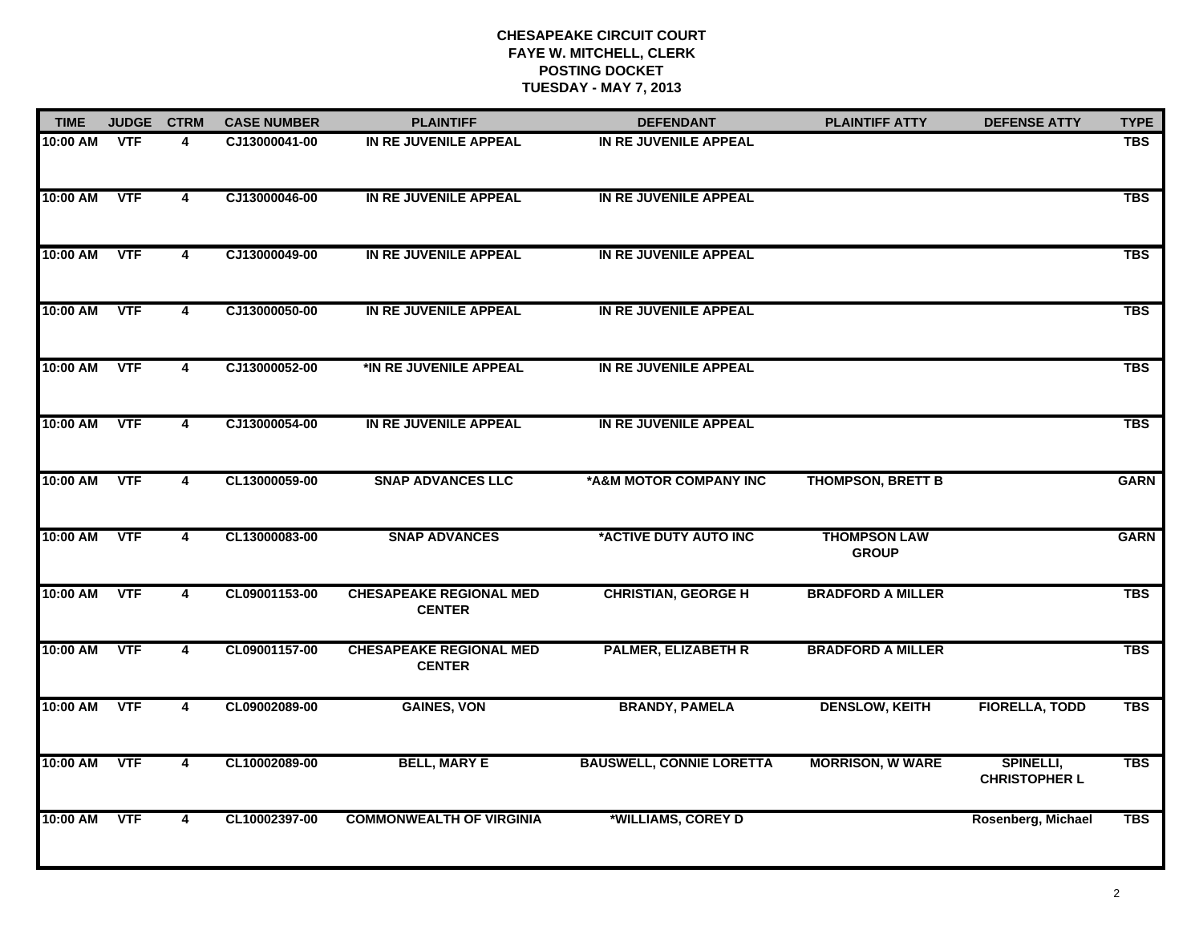| <b>TIME</b> | <b>JUDGE</b> | <b>CTRM</b>             | <b>CASE NUMBER</b> | <b>PLAINTIFF</b>                                | <b>DEFENDANT</b>                | <b>PLAINTIFF ATTY</b>               | <b>DEFENSE ATTY</b>               | <b>TYPE</b> |
|-------------|--------------|-------------------------|--------------------|-------------------------------------------------|---------------------------------|-------------------------------------|-----------------------------------|-------------|
| 10:00 AM    | <b>VTF</b>   | 4                       | CJ13000041-00      | IN RE JUVENILE APPEAL                           | IN RE JUVENILE APPEAL           |                                     |                                   | <b>TBS</b>  |
| 10:00 AM    | <b>VTF</b>   | $\overline{\mathbf{4}}$ | CJ13000046-00      | IN RE JUVENILE APPEAL                           | IN RE JUVENILE APPEAL           |                                     |                                   | <b>TBS</b>  |
| 10:00 AM    | <b>VTF</b>   | 4                       | CJ13000049-00      | IN RE JUVENILE APPEAL                           | IN RE JUVENILE APPEAL           |                                     |                                   | <b>TBS</b>  |
| 10:00 AM    | <b>VTF</b>   | 4                       | CJ13000050-00      | IN RE JUVENILE APPEAL                           | IN RE JUVENILE APPEAL           |                                     |                                   | <b>TBS</b>  |
| 10:00 AM    | <b>VTF</b>   | $\overline{\mathbf{4}}$ | CJ13000052-00      | *IN RE JUVENILE APPEAL                          | IN RE JUVENILE APPEAL           |                                     |                                   | <b>TBS</b>  |
| 10:00 AM    | <b>VTF</b>   | 4                       | CJ13000054-00      | IN RE JUVENILE APPEAL                           | IN RE JUVENILE APPEAL           |                                     |                                   | <b>TBS</b>  |
| 10:00 AM    | <b>VTF</b>   | $\overline{\mathbf{4}}$ | CL13000059-00      | <b>SNAP ADVANCES LLC</b>                        | *A&M MOTOR COMPANY INC          | <b>THOMPSON, BRETT B</b>            |                                   | <b>GARN</b> |
| 10:00 AM    | <b>VTF</b>   | $\overline{\mathbf{4}}$ | CL13000083-00      | <b>SNAP ADVANCES</b>                            | *ACTIVE DUTY AUTO INC           | <b>THOMPSON LAW</b><br><b>GROUP</b> |                                   | <b>GARN</b> |
| 10:00 AM    | <b>VTF</b>   | 4                       | CL09001153-00      | <b>CHESAPEAKE REGIONAL MED</b><br><b>CENTER</b> | <b>CHRISTIAN, GEORGE H</b>      | <b>BRADFORD A MILLER</b>            |                                   | <b>TBS</b>  |
| 10:00 AM    | <b>VTF</b>   | 4                       | CL09001157-00      | <b>CHESAPEAKE REGIONAL MED</b><br><b>CENTER</b> | <b>PALMER, ELIZABETH R</b>      | <b>BRADFORD A MILLER</b>            |                                   | <b>TBS</b>  |
| 10:00 AM    | <b>VTF</b>   | 4                       | CL09002089-00      | <b>GAINES, VON</b>                              | <b>BRANDY, PAMELA</b>           | <b>DENSLOW, KEITH</b>               | <b>FIORELLA, TODD</b>             | <b>TBS</b>  |
| 10:00 AM    | <b>VTF</b>   | 4                       | CL10002089-00      | <b>BELL, MARY E</b>                             | <b>BAUSWELL, CONNIE LORETTA</b> | <b>MORRISON, W WARE</b>             | SPINELLI,<br><b>CHRISTOPHER L</b> | <b>TBS</b>  |
| 10:00 AM    | <b>VTF</b>   | 4                       | CL10002397-00      | <b>COMMONWEALTH OF VIRGINIA</b>                 | *WILLIAMS, COREY D              |                                     | Rosenberg, Michael                | <b>TBS</b>  |
|             |              |                         |                    |                                                 |                                 |                                     |                                   |             |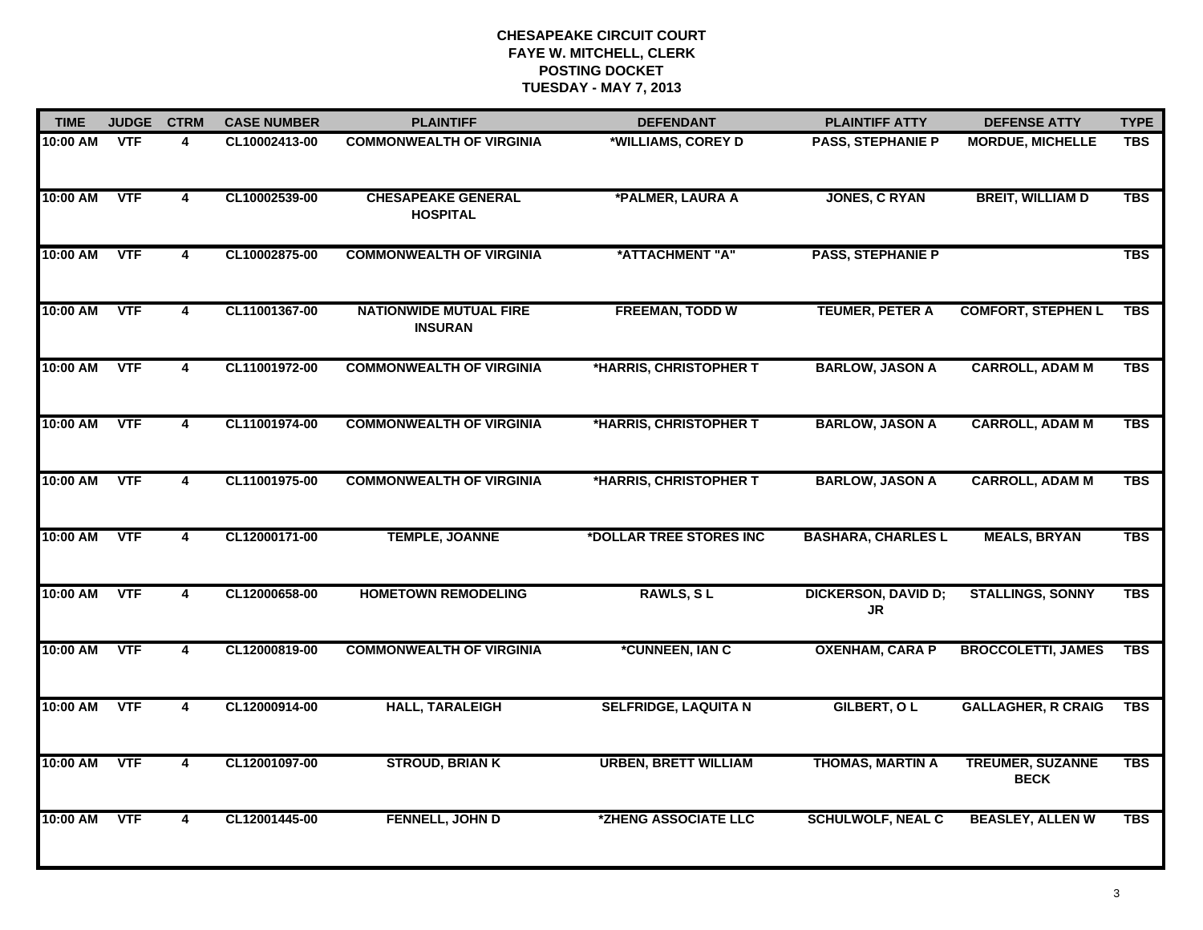| <b>TIME</b> | <b>JUDGE</b> | <b>CTRM</b>             | <b>CASE NUMBER</b> | <b>PLAINTIFF</b>                                | <b>DEFENDANT</b>            | <b>PLAINTIFF ATTY</b>                   | <b>DEFENSE ATTY</b>                    | <b>TYPE</b> |
|-------------|--------------|-------------------------|--------------------|-------------------------------------------------|-----------------------------|-----------------------------------------|----------------------------------------|-------------|
| 10:00 AM    | <b>VTF</b>   | 4                       | CL10002413-00      | <b>COMMONWEALTH OF VIRGINIA</b>                 | *WILLIAMS, COREY D          | <b>PASS, STEPHANIE P</b>                | <b>MORDUE, MICHELLE</b>                | <b>TBS</b>  |
| 10:00 AM    | <b>VTF</b>   | $\overline{4}$          | CL10002539-00      | <b>CHESAPEAKE GENERAL</b><br><b>HOSPITAL</b>    | *PALMER, LAURA A            | <b>JONES, C RYAN</b>                    | <b>BREIT, WILLIAM D</b>                | <b>TBS</b>  |
| 10:00 AM    | <b>VTF</b>   | 4                       | CL10002875-00      | <b>COMMONWEALTH OF VIRGINIA</b>                 | *ATTACHMENT "A"             | <b>PASS, STEPHANIE P</b>                |                                        | <b>TBS</b>  |
| 10:00 AM    | <b>VTF</b>   | $\overline{\mathbf{4}}$ | CL11001367-00      | <b>NATIONWIDE MUTUAL FIRE</b><br><b>INSURAN</b> | <b>FREEMAN, TODD W</b>      | <b>TEUMER, PETER A</b>                  | <b>COMFORT, STEPHEN L</b>              | <b>TBS</b>  |
| 10:00 AM    | <b>VTF</b>   | 4                       | CL11001972-00      | <b>COMMONWEALTH OF VIRGINIA</b>                 | *HARRIS, CHRISTOPHER T      | <b>BARLOW, JASON A</b>                  | <b>CARROLL, ADAM M</b>                 | <b>TBS</b>  |
| 10:00 AM    | <b>VTF</b>   | 4                       | CL11001974-00      | <b>COMMONWEALTH OF VIRGINIA</b>                 | *HARRIS, CHRISTOPHER T      | <b>BARLOW, JASON A</b>                  | <b>CARROLL, ADAM M</b>                 | <b>TBS</b>  |
| 10:00 AM    | <b>VTF</b>   | $\overline{4}$          | CL11001975-00      | <b>COMMONWEALTH OF VIRGINIA</b>                 | *HARRIS, CHRISTOPHER T      | <b>BARLOW, JASON A</b>                  | <b>CARROLL, ADAM M</b>                 | <b>TBS</b>  |
| 10:00 AM    | <b>VTF</b>   | $\overline{\mathbf{4}}$ | CL12000171-00      | <b>TEMPLE, JOANNE</b>                           | *DOLLAR TREE STORES INC     | <b>BASHARA, CHARLES L</b>               | <b>MEALS, BRYAN</b>                    | <b>TBS</b>  |
| 10:00 AM    | <b>VTF</b>   | 4                       | CL12000658-00      | <b>HOMETOWN REMODELING</b>                      | <b>RAWLS, SL</b>            | <b>DICKERSON, DAVID D;</b><br><b>JR</b> | <b>STALLINGS, SONNY</b>                | <b>TBS</b>  |
| 10:00 AM    | <b>VTF</b>   | $\overline{\mathbf{4}}$ | CL12000819-00      | <b>COMMONWEALTH OF VIRGINIA</b>                 | *CUNNEEN, IAN C             | <b>OXENHAM, CARA P</b>                  | <b>BROCCOLETTI, JAMES</b>              | <b>TBS</b>  |
| 10:00 AM    | <b>VTF</b>   | 4                       | CL12000914-00      | <b>HALL, TARALEIGH</b>                          | <b>SELFRIDGE, LAQUITA N</b> | GILBERT, OL                             | <b>GALLAGHER, R CRAIG</b>              | <b>TBS</b>  |
| 10:00 AM    | <b>VTF</b>   | 4                       | CL12001097-00      | <b>STROUD, BRIAN K</b>                          | <b>URBEN, BRETT WILLIAM</b> | <b>THOMAS, MARTIN A</b>                 | <b>TREUMER, SUZANNE</b><br><b>BECK</b> | <b>TBS</b>  |
| 10:00 AM    | <b>VTF</b>   | $\overline{\mathbf{4}}$ | CL12001445-00      | FENNELL, JOHN D                                 | *ZHENG ASSOCIATE LLC        | <b>SCHULWOLF, NEAL C</b>                | <b>BEASLEY, ALLEN W</b>                | <b>TBS</b>  |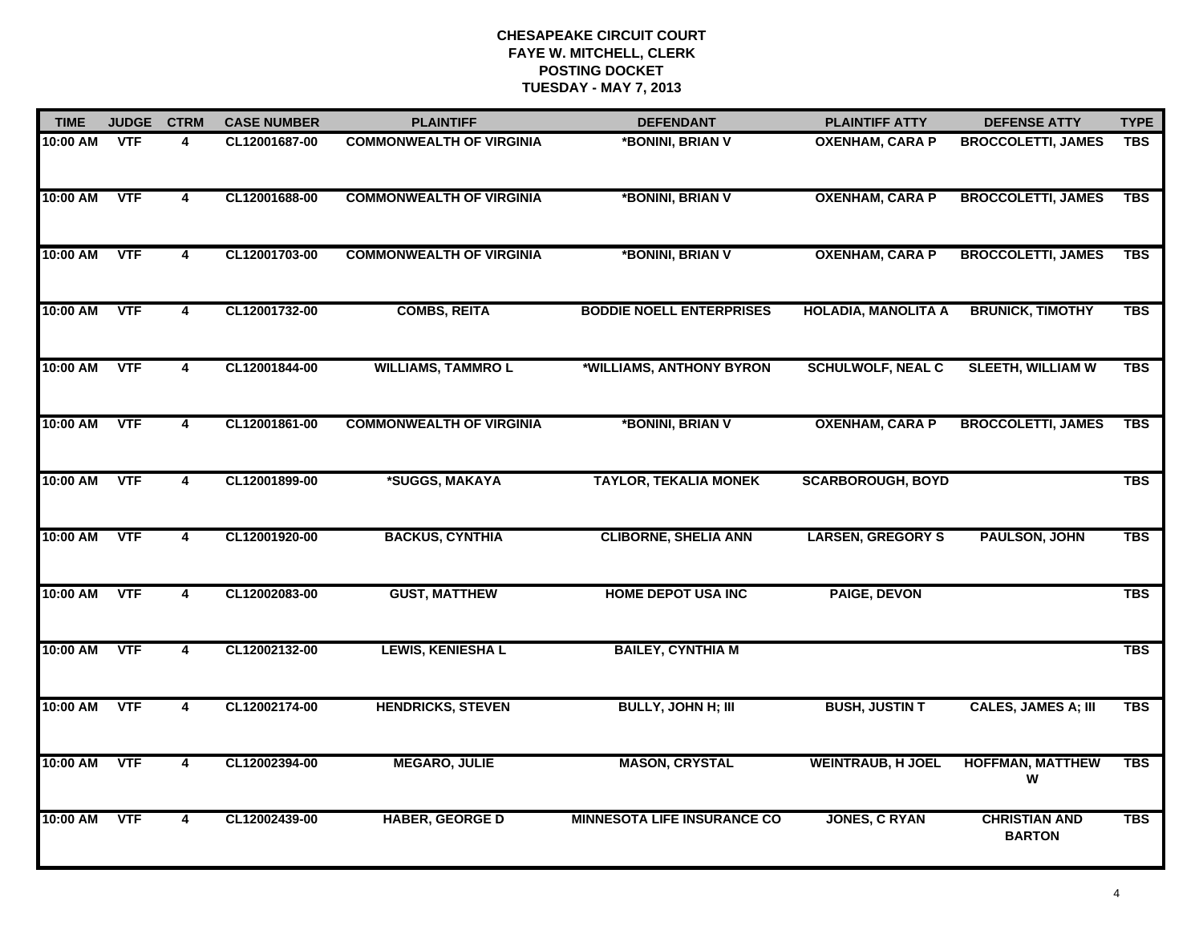| <b>TIME</b> | <b>JUDGE</b> | <b>CTRM</b>             | <b>CASE NUMBER</b> | <b>PLAINTIFF</b>                | <b>DEFENDANT</b>                   | <b>PLAINTIFF ATTY</b>      | <b>DEFENSE ATTY</b>                   | <b>TYPE</b> |
|-------------|--------------|-------------------------|--------------------|---------------------------------|------------------------------------|----------------------------|---------------------------------------|-------------|
| 10:00 AM    | <b>VTF</b>   | 4                       | CL12001687-00      | <b>COMMONWEALTH OF VIRGINIA</b> | *BONINI, BRIAN V                   | <b>OXENHAM, CARA P</b>     | <b>BROCCOLETTI, JAMES</b>             | <b>TBS</b>  |
| 10:00 AM    | <b>VTF</b>   | 4                       | CL12001688-00      | <b>COMMONWEALTH OF VIRGINIA</b> | *BONINI, BRIAN V                   | <b>OXENHAM, CARA P</b>     | <b>BROCCOLETTI, JAMES</b>             | <b>TBS</b>  |
| 10:00 AM    | <b>VTF</b>   | $\overline{4}$          | CL12001703-00      | <b>COMMONWEALTH OF VIRGINIA</b> | *BONINI, BRIAN V                   | <b>OXENHAM, CARA P</b>     | <b>BROCCOLETTI, JAMES</b>             | <b>TBS</b>  |
| 10:00 AM    | <b>VTF</b>   | 4                       | CL12001732-00      | <b>COMBS, REITA</b>             | <b>BODDIE NOELL ENTERPRISES</b>    | <b>HOLADIA, MANOLITA A</b> | <b>BRUNICK, TIMOTHY</b>               | <b>TBS</b>  |
| 10:00 AM    | <b>VTF</b>   | 4                       | CL12001844-00      | <b>WILLIAMS, TAMMROL</b>        | *WILLIAMS, ANTHONY BYRON           | <b>SCHULWOLF, NEAL C</b>   | <b>SLEETH, WILLIAM W</b>              | <b>TBS</b>  |
| 10:00 AM    | <b>VTF</b>   | 4                       | CL12001861-00      | <b>COMMONWEALTH OF VIRGINIA</b> | *BONINI, BRIAN V                   | <b>OXENHAM, CARA P</b>     | <b>BROCCOLETTI, JAMES</b>             | <b>TBS</b>  |
| 10:00 AM    | <b>VTF</b>   | 4                       | CL12001899-00      | *SUGGS, MAKAYA                  | <b>TAYLOR, TEKALIA MONEK</b>       | <b>SCARBOROUGH, BOYD</b>   |                                       | <b>TBS</b>  |
| 10:00 AM    | <b>VTF</b>   | 4                       | CL12001920-00      | <b>BACKUS, CYNTHIA</b>          | <b>CLIBORNE, SHELIA ANN</b>        | <b>LARSEN, GREGORY S</b>   | PAULSON, JOHN                         | <b>TBS</b>  |
| 10:00 AM    | <b>VTF</b>   | 4                       | CL12002083-00      | <b>GUST, MATTHEW</b>            | <b>HOME DEPOT USA INC</b>          | <b>PAIGE, DEVON</b>        |                                       | <b>TBS</b>  |
| 10:00 AM    | <b>VTF</b>   | $\overline{\mathbf{4}}$ | CL12002132-00      | <b>LEWIS, KENIESHA L</b>        | <b>BAILEY, CYNTHIA M</b>           |                            |                                       | <b>TBS</b>  |
| 10:00 AM    | <b>VTF</b>   | 4                       | CL12002174-00      | <b>HENDRICKS, STEVEN</b>        | <b>BULLY, JOHN H; III</b>          | <b>BUSH, JUSTIN T</b>      | <b>CALES, JAMES A; III</b>            | <b>TBS</b>  |
| 10:00 AM    | <b>VTF</b>   | $\overline{4}$          | CL12002394-00      | <b>MEGARO, JULIE</b>            | <b>MASON, CRYSTAL</b>              | <b>WEINTRAUB, H JOEL</b>   | <b>HOFFMAN, MATTHEW</b><br>W          | <b>TBS</b>  |
| 10:00 AM    | <b>VTF</b>   | 4                       | CL12002439-00      | <b>HABER, GEORGE D</b>          | <b>MINNESOTA LIFE INSURANCE CO</b> | <b>JONES, C RYAN</b>       | <b>CHRISTIAN AND</b><br><b>BARTON</b> | <b>TBS</b>  |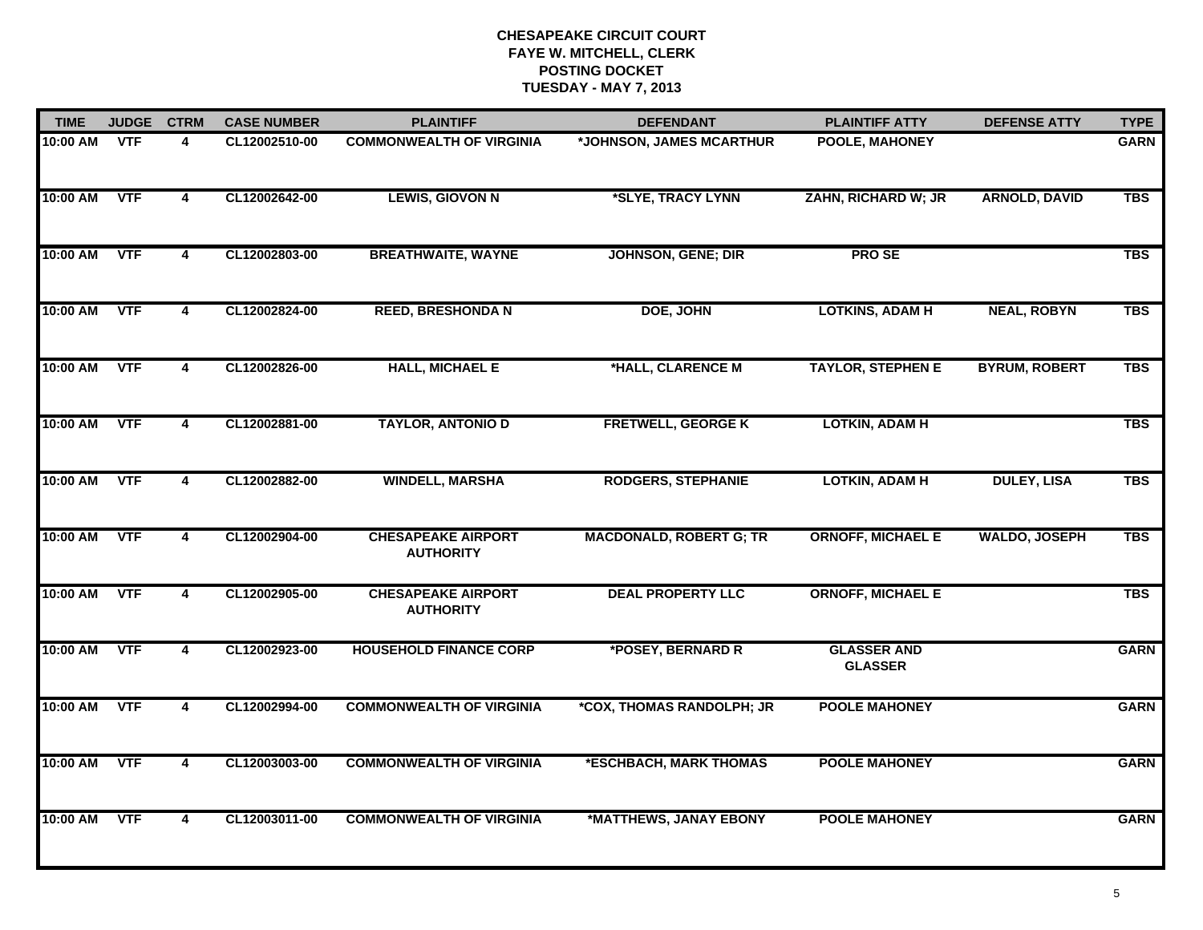| <b>TIME</b> | <b>JUDGE</b> | <b>CTRM</b>             | <b>CASE NUMBER</b> | <b>PLAINTIFF</b>                              | <b>DEFENDANT</b>               | <b>PLAINTIFF ATTY</b>                | <b>DEFENSE ATTY</b>  | <b>TYPE</b> |
|-------------|--------------|-------------------------|--------------------|-----------------------------------------------|--------------------------------|--------------------------------------|----------------------|-------------|
| 10:00 AM    | <b>VTF</b>   | 4                       | CL12002510-00      | <b>COMMONWEALTH OF VIRGINIA</b>               | *JOHNSON, JAMES MCARTHUR       | POOLE, MAHONEY                       |                      | <b>GARN</b> |
| 10:00 AM    | <b>VTF</b>   | 4                       | CL12002642-00      | <b>LEWIS, GIOVON N</b>                        | *SLYE, TRACY LYNN              | ZAHN, RICHARD W; JR                  | <b>ARNOLD, DAVID</b> | <b>TBS</b>  |
| 10:00 AM    | <b>VTF</b>   | 4                       | CL12002803-00      | <b>BREATHWAITE, WAYNE</b>                     | <b>JOHNSON, GENE; DIR</b>      | <b>PROSE</b>                         |                      | <b>TBS</b>  |
| 10:00 AM    | <b>VTF</b>   | 4                       | CL12002824-00      | <b>REED, BRESHONDA N</b>                      | DOE, JOHN                      | <b>LOTKINS, ADAM H</b>               | <b>NEAL, ROBYN</b>   | <b>TBS</b>  |
| 10:00 AM    | <b>VTF</b>   | $\overline{\mathbf{4}}$ | CL12002826-00      | <b>HALL, MICHAEL E</b>                        | *HALL, CLARENCE M              | <b>TAYLOR, STEPHEN E</b>             | <b>BYRUM, ROBERT</b> | <b>TBS</b>  |
| 10:00 AM    | <b>VTF</b>   | 4                       | CL12002881-00      | <b>TAYLOR, ANTONIO D</b>                      | <b>FRETWELL, GEORGE K</b>      | <b>LOTKIN, ADAM H</b>                |                      | <b>TBS</b>  |
| 10:00 AM    | <b>VTF</b>   | $\overline{4}$          | CL12002882-00      | <b>WINDELL, MARSHA</b>                        | <b>RODGERS, STEPHANIE</b>      | <b>LOTKIN, ADAM H</b>                | <b>DULEY, LISA</b>   | <b>TBS</b>  |
| 10:00 AM    | <b>VTF</b>   | $\overline{4}$          | CL12002904-00      | <b>CHESAPEAKE AIRPORT</b><br><b>AUTHORITY</b> | <b>MACDONALD, ROBERT G; TR</b> | <b>ORNOFF, MICHAEL E</b>             | <b>WALDO, JOSEPH</b> | <b>TBS</b>  |
| 10:00 AM    | <b>VTF</b>   | 4                       | CL12002905-00      | <b>CHESAPEAKE AIRPORT</b><br><b>AUTHORITY</b> | <b>DEAL PROPERTY LLC</b>       | <b>ORNOFF, MICHAEL E</b>             |                      | <b>TBS</b>  |
| 10:00 AM    | <b>VTF</b>   | $\overline{\mathbf{4}}$ | CL12002923-00      | <b>HOUSEHOLD FINANCE CORP</b>                 | *POSEY, BERNARD R              | <b>GLASSER AND</b><br><b>GLASSER</b> |                      | <b>GARN</b> |
| 10:00 AM    | <b>VTF</b>   | 4                       | CL12002994-00      | <b>COMMONWEALTH OF VIRGINIA</b>               | *COX, THOMAS RANDOLPH; JR      | <b>POOLE MAHONEY</b>                 |                      | <b>GARN</b> |
| 10:00 AM    | <b>VTF</b>   | $\overline{\mathbf{4}}$ | CL12003003-00      | <b>COMMONWEALTH OF VIRGINIA</b>               | *ESCHBACH, MARK THOMAS         | <b>POOLE MAHONEY</b>                 |                      | <b>GARN</b> |
| 10:00 AM    | <b>VTF</b>   | 4                       | CL12003011-00      | <b>COMMONWEALTH OF VIRGINIA</b>               | *MATTHEWS, JANAY EBONY         | <b>POOLE MAHONEY</b>                 |                      | <b>GARN</b> |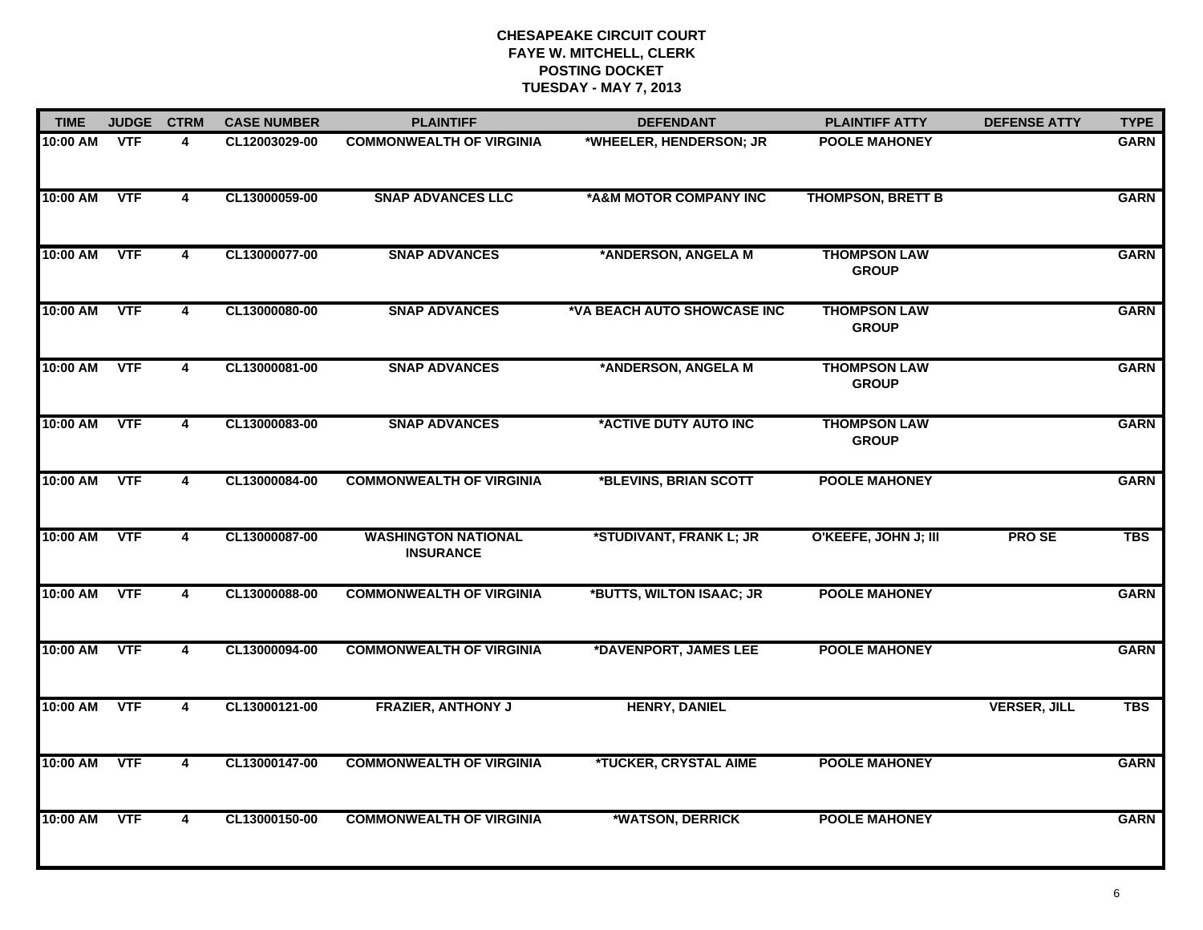| <b>TIME</b> | <b>JUDGE</b> | <b>CTRM</b>             | <b>CASE NUMBER</b> | <b>PLAINTIFF</b>                               | <b>DEFENDANT</b>            | <b>PLAINTIFF ATTY</b>               | <b>DEFENSE ATTY</b> | <b>TYPE</b> |
|-------------|--------------|-------------------------|--------------------|------------------------------------------------|-----------------------------|-------------------------------------|---------------------|-------------|
| 10:00 AM    | <b>VTF</b>   | 4                       | CL12003029-00      | <b>COMMONWEALTH OF VIRGINIA</b>                | *WHEELER, HENDERSON; JR     | <b>POOLE MAHONEY</b>                |                     | <b>GARN</b> |
| 10:00 AM    | <b>VTF</b>   | $\overline{\mathbf{4}}$ | CL13000059-00      | <b>SNAP ADVANCES LLC</b>                       | *A&M MOTOR COMPANY INC      | <b>THOMPSON, BRETT B</b>            |                     | <b>GARN</b> |
| 10:00 AM    | <b>VTF</b>   | $\overline{\mathbf{4}}$ | CL13000077-00      | <b>SNAP ADVANCES</b>                           | *ANDERSON, ANGELA M         | <b>THOMPSON LAW</b><br><b>GROUP</b> |                     | <b>GARN</b> |
| 10:00 AM    | <b>VTF</b>   | 4                       | CL13000080-00      | <b>SNAP ADVANCES</b>                           | *VA BEACH AUTO SHOWCASE INC | <b>THOMPSON LAW</b><br><b>GROUP</b> |                     | <b>GARN</b> |
| 10:00 AM    | <b>VTF</b>   | $\overline{\mathbf{4}}$ | CL13000081-00      | <b>SNAP ADVANCES</b>                           | *ANDERSON, ANGELA M         | <b>THOMPSON LAW</b><br><b>GROUP</b> |                     | <b>GARN</b> |
| 10:00 AM    | <b>VTF</b>   | 4                       | CL13000083-00      | <b>SNAP ADVANCES</b>                           | *ACTIVE DUTY AUTO INC       | <b>THOMPSON LAW</b><br><b>GROUP</b> |                     | <b>GARN</b> |
| 10:00 AM    | <b>VTF</b>   | $\overline{4}$          | CL13000084-00      | <b>COMMONWEALTH OF VIRGINIA</b>                | *BLEVINS, BRIAN SCOTT       | <b>POOLE MAHONEY</b>                |                     | <b>GARN</b> |
| 10:00 AM    | <b>VTF</b>   | 4                       | CL13000087-00      | <b>WASHINGTON NATIONAL</b><br><b>INSURANCE</b> | *STUDIVANT, FRANK L; JR     | O'KEEFE, JOHN J; III                | <b>PROSE</b>        | <b>TBS</b>  |
| 10:00 AM    | <b>VTF</b>   | 4                       | CL13000088-00      | <b>COMMONWEALTH OF VIRGINIA</b>                | *BUTTS, WILTON ISAAC; JR    | <b>POOLE MAHONEY</b>                |                     | <b>GARN</b> |
| 10:00 AM    | <b>VTF</b>   | 4                       | CL13000094-00      | <b>COMMONWEALTH OF VIRGINIA</b>                | *DAVENPORT, JAMES LEE       | <b>POOLE MAHONEY</b>                |                     | <b>GARN</b> |
| 10:00 AM    | <b>VTF</b>   | 4                       | CL13000121-00      | <b>FRAZIER, ANTHONY J</b>                      | <b>HENRY, DANIEL</b>        |                                     | <b>VERSER, JILL</b> | <b>TBS</b>  |
| 10:00 AM    | <b>VTF</b>   | $\overline{\mathbf{4}}$ | CL13000147-00      | <b>COMMONWEALTH OF VIRGINIA</b>                | *TUCKER, CRYSTAL AIME       | <b>POOLE MAHONEY</b>                |                     | <b>GARN</b> |
| 10:00 AM    | <b>VTF</b>   | 4                       | CL13000150-00      | <b>COMMONWEALTH OF VIRGINIA</b>                | *WATSON, DERRICK            | <b>POOLE MAHONEY</b>                |                     | <b>GARN</b> |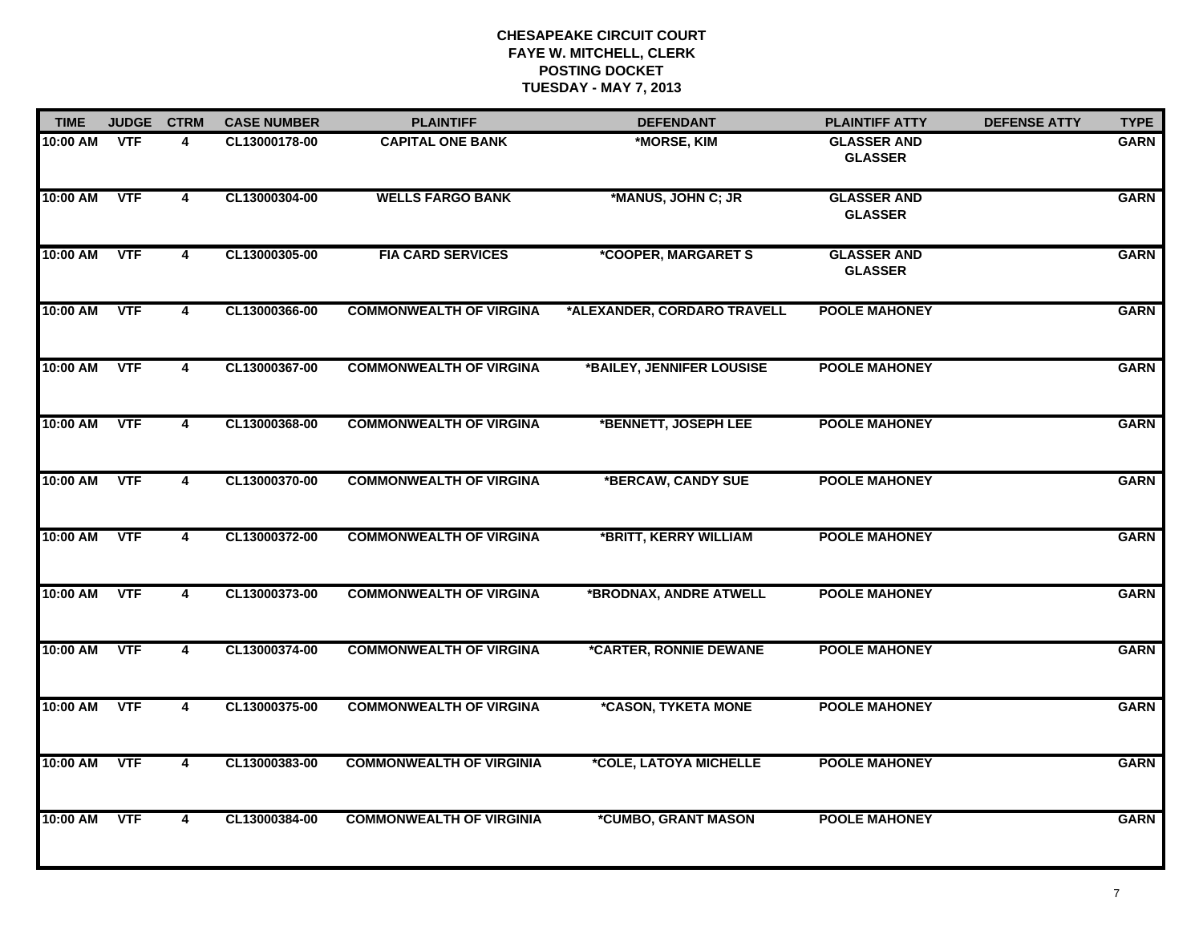| <b>TIME</b> | <b>JUDGE</b> | <b>CTRM</b>             | <b>CASE NUMBER</b> | <b>PLAINTIFF</b>                | <b>DEFENDANT</b>                  | <b>PLAINTIFF ATTY</b>                | <b>DEFENSE ATTY</b> | <b>TYPE</b> |
|-------------|--------------|-------------------------|--------------------|---------------------------------|-----------------------------------|--------------------------------------|---------------------|-------------|
| 10:00 AM    | <b>VTF</b>   | 4                       | CL13000178-00      | <b>CAPITAL ONE BANK</b>         | *MORSE, KIM                       | <b>GLASSER AND</b><br><b>GLASSER</b> |                     | <b>GARN</b> |
| 10:00 AM    | <b>VTF</b>   | $\overline{\mathbf{4}}$ | CL13000304-00      | <b>WELLS FARGO BANK</b>         | *MANUS, JOHN C; JR                | <b>GLASSER AND</b><br><b>GLASSER</b> |                     | <b>GARN</b> |
| 10:00 AM    | <b>VTF</b>   | $\overline{\mathbf{4}}$ | CL13000305-00      | <b>FIA CARD SERVICES</b>        | *COOPER, MARGARET S               | <b>GLASSER AND</b><br><b>GLASSER</b> |                     | <b>GARN</b> |
| 10:00 AM    | <b>VTF</b>   | 4                       | CL13000366-00      | <b>COMMONWEALTH OF VIRGINA</b>  | *ALEXANDER, CORDARO TRAVELL       | <b>POOLE MAHONEY</b>                 |                     | <b>GARN</b> |
| 10:00 AM    | <b>VTF</b>   | $\overline{\mathbf{4}}$ | CL13000367-00      | <b>COMMONWEALTH OF VIRGINA</b>  | *BAILEY, JENNIFER LOUSISE         | <b>POOLE MAHONEY</b>                 |                     | <b>GARN</b> |
| 10:00 AM    | <b>VTF</b>   | $\overline{\mathbf{4}}$ | CL13000368-00      | <b>COMMONWEALTH OF VIRGINA</b>  | *BENNETT, JOSEPH LEE              | <b>POOLE MAHONEY</b>                 |                     | <b>GARN</b> |
| 10:00 AM    | <b>VTF</b>   | $\overline{\mathbf{4}}$ | CL13000370-00      | <b>COMMONWEALTH OF VIRGINA</b>  | *BERCAW, CANDY SUE                | <b>POOLE MAHONEY</b>                 |                     | <b>GARN</b> |
| 10:00 AM    | <b>VTF</b>   | 4                       | CL13000372-00      | <b>COMMONWEALTH OF VIRGINA</b>  | *BRITT, KERRY WILLIAM             | <b>POOLE MAHONEY</b>                 |                     | <b>GARN</b> |
| 10:00 AM    | <b>VTF</b>   | 4                       | CL13000373-00      | <b>COMMONWEALTH OF VIRGINA</b>  | *BRODNAX, ANDRE ATWELL            | <b>POOLE MAHONEY</b>                 |                     | <b>GARN</b> |
| 10:00 AM    | <b>VTF</b>   | $\overline{\mathbf{4}}$ | CL13000374-00      | <b>COMMONWEALTH OF VIRGINA</b>  | *CARTER, RONNIE DEWANE            | <b>POOLE MAHONEY</b>                 |                     | <b>GARN</b> |
| 10:00 AM    | <b>VTF</b>   | 4                       | CL13000375-00      | <b>COMMONWEALTH OF VIRGINA</b>  | *CASON, TYKETA MONE               | <b>POOLE MAHONEY</b>                 |                     | <b>GARN</b> |
| 10:00 AM    | <b>VTF</b>   | $\overline{\mathbf{4}}$ | CL13000383-00      | <b>COMMONWEALTH OF VIRGINIA</b> | *COLE, LATOYA MICHELLE            | <b>POOLE MAHONEY</b>                 |                     | <b>GARN</b> |
| 10:00 AM    | <b>VTF</b>   | 4                       | CL13000384-00      | <b>COMMONWEALTH OF VIRGINIA</b> | <i><b>*CUMBO, GRANT MASON</b></i> | <b>POOLE MAHONEY</b>                 |                     | <b>GARN</b> |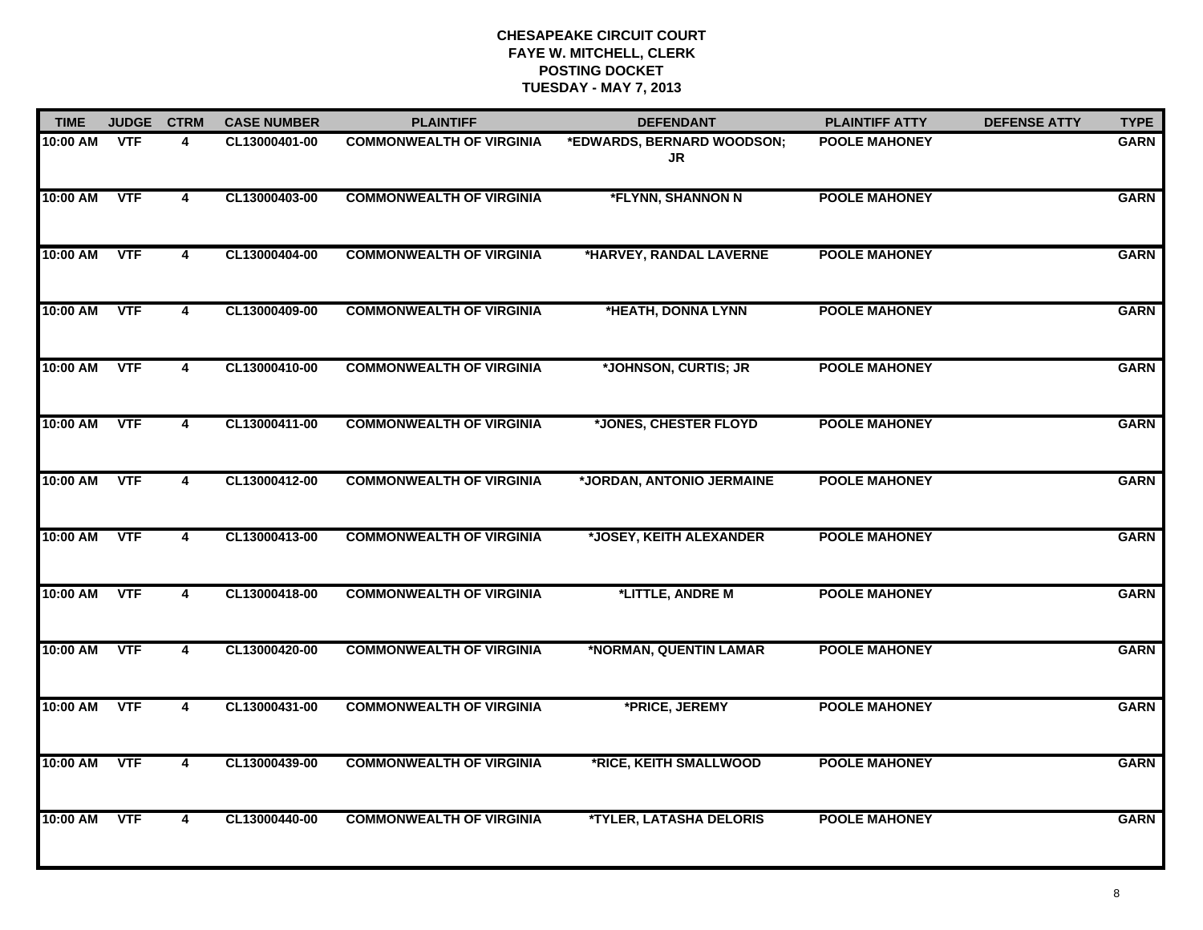| <b>TIME</b> | <b>JUDGE</b> | <b>CTRM</b>    | <b>CASE NUMBER</b> | <b>PLAINTIFF</b>                | <b>DEFENDANT</b>                      | <b>PLAINTIFF ATTY</b> | <b>DEFENSE ATTY</b> | <b>TYPE</b> |
|-------------|--------------|----------------|--------------------|---------------------------------|---------------------------------------|-----------------------|---------------------|-------------|
| 10:00 AM    | <b>VTF</b>   | 4              | CL13000401-00      | <b>COMMONWEALTH OF VIRGINIA</b> | *EDWARDS, BERNARD WOODSON;<br>JR      | <b>POOLE MAHONEY</b>  |                     | <b>GARN</b> |
| 10:00 AM    | <b>VTF</b>   | 4              | CL13000403-00      | <b>COMMONWEALTH OF VIRGINIA</b> | *FLYNN, SHANNON N                     | <b>POOLE MAHONEY</b>  |                     | <b>GARN</b> |
| 10:00 AM    | <b>VTF</b>   | 4              | CL13000404-00      | <b>COMMONWEALTH OF VIRGINIA</b> | *HARVEY, RANDAL LAVERNE               | <b>POOLE MAHONEY</b>  |                     | <b>GARN</b> |
| 10:00 AM    | <b>VTF</b>   | 4              | CL13000409-00      | <b>COMMONWEALTH OF VIRGINIA</b> | *HEATH, DONNA LYNN                    | <b>POOLE MAHONEY</b>  |                     | <b>GARN</b> |
| 10:00 AM    | <b>VTF</b>   | 4              | CL13000410-00      | <b>COMMONWEALTH OF VIRGINIA</b> | *JOHNSON, CURTIS; JR                  | <b>POOLE MAHONEY</b>  |                     | <b>GARN</b> |
| 10:00 AM    | <b>VTF</b>   | $\overline{4}$ | CL13000411-00      | <b>COMMONWEALTH OF VIRGINIA</b> | *JONES, CHESTER FLOYD                 | <b>POOLE MAHONEY</b>  |                     | <b>GARN</b> |
| 10:00 AM    | <b>VTF</b>   | 4              | CL13000412-00      | <b>COMMONWEALTH OF VIRGINIA</b> | *JORDAN, ANTONIO JERMAINE             | <b>POOLE MAHONEY</b>  |                     | <b>GARN</b> |
| 10:00 AM    | <b>VTF</b>   | 4              | CL13000413-00      | <b>COMMONWEALTH OF VIRGINIA</b> | *JOSEY, KEITH ALEXANDER               | <b>POOLE MAHONEY</b>  |                     | <b>GARN</b> |
| 10:00 AM    | <b>VTF</b>   | 4              | CL13000418-00      | <b>COMMONWEALTH OF VIRGINIA</b> | *LITTLE, ANDRE M                      | <b>POOLE MAHONEY</b>  |                     | <b>GARN</b> |
| 10:00 AM    | <b>VTF</b>   | 4              | CL13000420-00      | <b>COMMONWEALTH OF VIRGINIA</b> | *NORMAN, QUENTIN LAMAR                | <b>POOLE MAHONEY</b>  |                     | <b>GARN</b> |
| 10:00 AM    | <b>VTF</b>   | 4              | CL13000431-00      | <b>COMMONWEALTH OF VIRGINIA</b> | *PRICE, JEREMY                        | <b>POOLE MAHONEY</b>  |                     | <b>GARN</b> |
| 10:00 AM    | <b>VTF</b>   | 4              | CL13000439-00      | <b>COMMONWEALTH OF VIRGINIA</b> | *RICE, KEITH SMALLWOOD                | <b>POOLE MAHONEY</b>  |                     | <b>GARN</b> |
| 10:00 AM    | <b>VTF</b>   | 4              | CL13000440-00      | <b>COMMONWEALTH OF VIRGINIA</b> | <i><b>*TYLER, LATASHA DELORIS</b></i> | <b>POOLE MAHONEY</b>  |                     | <b>GARN</b> |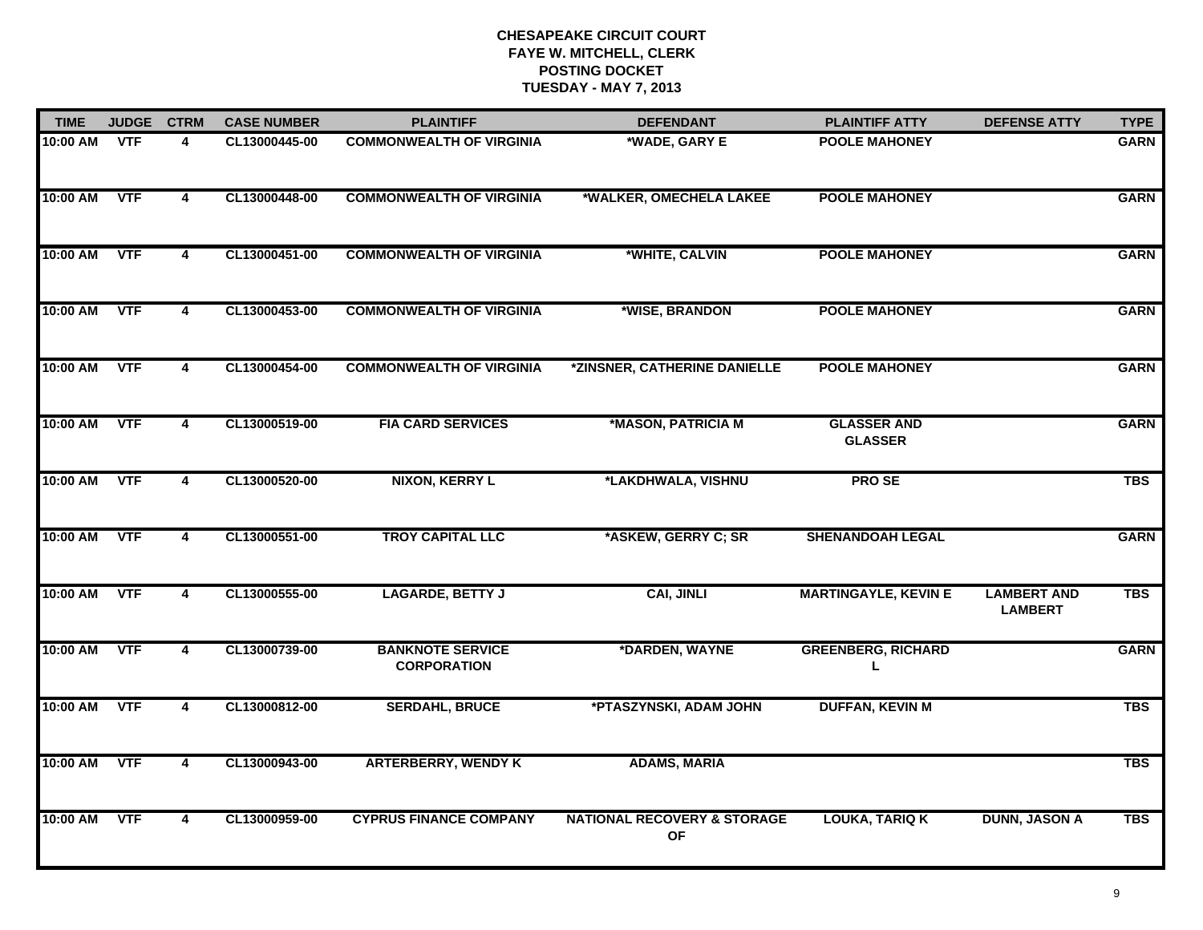| <b>TIME</b> | <b>JUDGE</b> | <b>CTRM</b>             | <b>CASE NUMBER</b> | <b>PLAINTIFF</b>                              | <b>DEFENDANT</b>                                    | <b>PLAINTIFF ATTY</b>                | <b>DEFENSE ATTY</b>                  | <b>TYPE</b> |
|-------------|--------------|-------------------------|--------------------|-----------------------------------------------|-----------------------------------------------------|--------------------------------------|--------------------------------------|-------------|
| 10:00 AM    | <b>VTF</b>   | 4                       | CL13000445-00      | <b>COMMONWEALTH OF VIRGINIA</b>               | *WADE, GARY E                                       | <b>POOLE MAHONEY</b>                 |                                      | <b>GARN</b> |
| 10:00 AM    | <b>VTF</b>   | $\overline{\mathbf{4}}$ | CL13000448-00      | <b>COMMONWEALTH OF VIRGINIA</b>               | *WALKER, OMECHELA LAKEE                             | <b>POOLE MAHONEY</b>                 |                                      | <b>GARN</b> |
| 10:00 AM    | <b>VTF</b>   | $\overline{\mathbf{4}}$ | CL13000451-00      | <b>COMMONWEALTH OF VIRGINIA</b>               | *WHITE, CALVIN                                      | <b>POOLE MAHONEY</b>                 |                                      | <b>GARN</b> |
| 10:00 AM    | <b>VTF</b>   | 4                       | CL13000453-00      | <b>COMMONWEALTH OF VIRGINIA</b>               | *WISE, BRANDON                                      | <b>POOLE MAHONEY</b>                 |                                      | <b>GARN</b> |
| 10:00 AM    | <b>VTF</b>   | $\overline{\mathbf{4}}$ | CL13000454-00      | <b>COMMONWEALTH OF VIRGINIA</b>               | *ZINSNER, CATHERINE DANIELLE                        | <b>POOLE MAHONEY</b>                 |                                      | <b>GARN</b> |
| 10:00 AM    | <b>VTF</b>   | $\overline{\mathbf{4}}$ | CL13000519-00      | <b>FIA CARD SERVICES</b>                      | *MASON, PATRICIA M                                  | <b>GLASSER AND</b><br><b>GLASSER</b> |                                      | <b>GARN</b> |
| 10:00 AM    | <b>VTF</b>   | $\overline{4}$          | CL13000520-00      | <b>NIXON, KERRY L</b>                         | *LAKDHWALA, VISHNU                                  | <b>PROSE</b>                         |                                      | <b>TBS</b>  |
| 10:00 AM    | <b>VTF</b>   | 4                       | CL13000551-00      | <b>TROY CAPITAL LLC</b>                       | *ASKEW, GERRY C; SR                                 | <b>SHENANDOAH LEGAL</b>              |                                      | <b>GARN</b> |
| 10:00 AM    | <b>VTF</b>   | 4                       | CL13000555-00      | <b>LAGARDE, BETTY J</b>                       | <b>CAI, JINLI</b>                                   | <b>MARTINGAYLE, KEVIN E</b>          | <b>LAMBERT AND</b><br><b>LAMBERT</b> | <b>TBS</b>  |
| 10:00 AM    | <b>VTF</b>   | 4                       | CL13000739-00      | <b>BANKNOTE SERVICE</b><br><b>CORPORATION</b> | *DARDEN, WAYNE                                      | <b>GREENBERG, RICHARD</b><br>L.      |                                      | <b>GARN</b> |
| 10:00 AM    | <b>VTF</b>   | $\overline{4}$          | CL13000812-00      | <b>SERDAHL, BRUCE</b>                         | *PTASZYNSKI, ADAM JOHN                              | <b>DUFFAN, KEVIN M</b>               |                                      | <b>TBS</b>  |
| 10:00 AM    | <b>VTF</b>   | $\overline{4}$          | CL13000943-00      | <b>ARTERBERRY, WENDY K</b>                    | <b>ADAMS, MARIA</b>                                 |                                      |                                      | <b>TBS</b>  |
| 10:00 AM    | <b>VTF</b>   | 4                       | CL13000959-00      | <b>CYPRUS FINANCE COMPANY</b>                 | <b>NATIONAL RECOVERY &amp; STORAGE</b><br><b>OF</b> | <b>LOUKA, TARIQ K</b>                | <b>DUNN, JASON A</b>                 | <b>TBS</b>  |